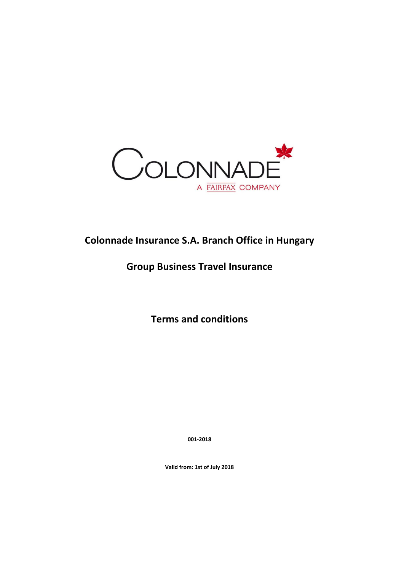

# **Colonnade Insurance S.A. Branch Office in Hungary**

# **Group Business Travel Insurance**

**Terms and conditions**

**001-2018**

**Valid from: 1st of July 2018**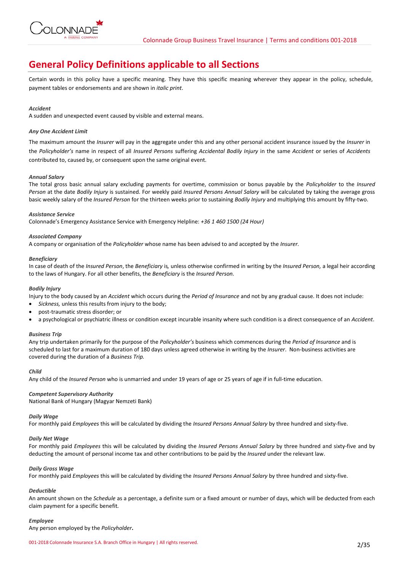

# **General Policy Definitions applicable to all Sections**

Certain words in this policy have a specific meaning. They have this specific meaning wherever they appear in the policy, schedule, payment tables or endorsements and are shown in *italic print*.

# *Accident*

A sudden and unexpected event caused by visible and external means.

## *Any One Accident Limit*

The maximum amount the *Insurer* will pay in the aggregate under this and any other personal accident insurance issued by the *Insurer* in the *Policyholder's* name in respect of all *Insured Persons* suffering *Accidental Bodily Injury* in the same *Accident* or series of *Accidents*  contributed to, caused by, or consequent upon the same original event.

# *Annual Salary*

The total gross basic annual salary excluding payments for overtime, commission or bonus payable by the *Policyholder* to the *Insured Person* at the date *Bodily Injury* is sustained. For weekly paid *Insured Persons Annual Salary* will be calculated by taking the average gross basic weekly salary of the *Insured Person* for the thirteen weeks prior to sustaining *Bodily Injury* and multiplying this amount by fifty-two.

## *Assistance Service*

Colonnade's Emergency Assistance Service with Emergency Helpline: *+36 1 460 1500 (24 Hour)*

## *Associated Company*

A company or organisation of the *Policyholder* whose name has been advised to and accepted by the *Insurer.*

## *Beneficiary*

In case of death of the *Insured Person*, the *Beneficiary* is*,* unless otherwise confirmed in writing by the *Insured Person,* a legal heir according to the laws of Hungary. For all other benefits, the *Beneficiary* is the *Insured Person.*

## *Bodily Injury*

Injury to the body caused by an *Accident* which occurs during the *Period of Insurance* and not by any gradual cause. It does not include:

- *Sickness,* unless this results from injury to the body;
- post-traumatic stress disorder; or
- a psychological or psychiatric illness or condition except incurable insanity where such condition is a direct consequence of an *Accident*.

## *Business Trip*

Any trip undertaken primarily for the purpose of the *Policyholder's* business which commences during the *Period of Insurance* and is scheduled to last for a maximum duration of 180 days unless agreed otherwise in writing by the *Insurer*. Non-business activities are covered during the duration of a *Business Trip.*

## *Child*

Any child of the *Insured Person* who is unmarried and under 19 years of age or 25 years of age if in full-time education.

# *Competent Supervisory Authority*

National Bank of Hungary (Magyar Nemzeti Bank)

# *Daily Wage*

For monthly paid *Employees* this will be calculated by dividing the *Insured Persons Annual Salary* by three hundred and sixty-five.

# *Daily Net Wage*

For monthly paid *Employees* this will be calculated by dividing the *Insured Persons Annual Salary* by three hundred and sixty-five and by deducting the amount of personal income tax and other contributions to be paid by the *Insured* under the relevant law.

## *Daily Gross Wage*

For monthly paid *Employees* this will be calculated by dividing the *Insured Persons Annual Salary* by three hundred and sixty-five.

# *Deductible*

An amount shown on the *Schedule* as a percentage, a definite sum or a fixed amount or number of days, which will be deducted from each claim payment for a specific benefit*.*

# *Employee*

Any person employed by the *Policyholder***.**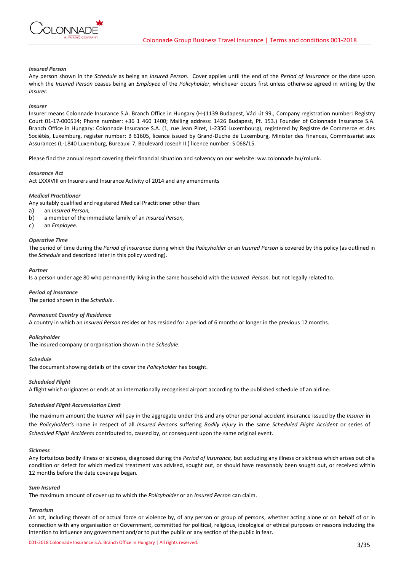## *Insured Person*

**IONNADI** 

Any person shown in the *Schedule* as being an *Insured Person*. Cover applies until the end of the *Period of Insurance* or the date upon which the *Insured Person* ceases being an *Employee* of the *Policyholder,* whichever occurs first unless otherwise agreed in writing by the *Insurer.*

## *Insurer*

Insurer means Colonnade Insurance S.A. Branch Office in Hungary (H-(1139 Budapest, Váci út 99.; Company registration number: Registry Court 01-17-000514; Phone number: +36 1 460 1400; Mailing address: 1426 Budapest, Pf. 153.) Founder of Colonnade Insurance S.A. Branch Office in Hungary: Colonnade Insurance S.A. (1, rue Jean Piret, L-2350 Luxembourg), registered by Registre de Commerce et des Sociétés, Luxemburg, register number: B 61605, licence issued by Grand-Duche de Luxemburg, Minister des Finances, Commissariat aux Assurances (L-1840 Luxemburg, Bureaux: 7, Boulevard Joseph II.) licence number: S 068/15.

Please find the annual report covering their financial situation and solvency on our website: ww.colonnade.hu/rolunk.

## *Insurance Act*

Act LXXXVIII on Insurers and Insurance Activity of 2014 and any amendments

#### *Medical Practitioner*

Any suitably qualified and registered Medical Practitioner other than:

- a) an *Insured Person,*
- b) a member of the immediate family of an *Insured Person,*
- c) an *Employee.*

## *Operative Time*

The period of time during the *Period of Insurance* during which the *Policyholder* or an *Insured Person* is covered by this policy (as outlined in the *Schedule* and described later in this policy wording).

### *Partner*

Is a person under age 80 who permanently living in the same household with the *Insured Person.* but not legally related to.

## *Period of Insurance*

The period shown in the *Schedule*.

## *Permanent Country of Residence*

A country in which an *Insured Person* resides or has resided for a period of 6 months or longer in the previous 12 months.

## *Policyholder*

The insured company or organisation shown in the *Schedule*.

### *Schedule*

The document showing details of the cover the *Policyholder* has bought.

## *Scheduled Flight*

A flight which originates or ends at an internationally recognised airport according to the published schedule of an airline.

#### *Scheduled Flight Accumulation Limit*

The maximum amount the *Insurer* will pay in the aggregate under this and any other personal accident insurance issued by the *Insurer* in the *Policyholder'*s name in respect of all *Insured Persons* suffering *Bodily Injury* in the same *Scheduled Flight Accident* or series of *Scheduled Flight Accidents* contributed to, caused by, or consequent upon the same original event.

### *Sickness*

Any fortuitous bodily illness or sickness, diagnosed during the *Period of Insurance,* but excluding any illness or sickness which arises out of a condition or defect for which medical treatment was advised, sought out, or should have reasonably been sought out, or received within 12 months before the date coverage began.

#### *Sum Insured*

The maximum amount of cover up to which the *Policyholder* or an *Insured Person* can claim.

## *Terrorism*

An act, including threats of or actual force or violence by, of any person or group of persons, whether acting alone or on behalf of or in connection with any organisation or Government, committed for political, religious, ideological or ethical purposes or reasons including the intention to influence any government and/or to put the public or any section of the public in fear.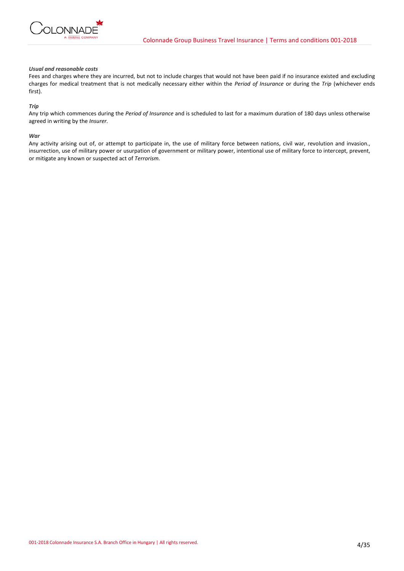

## *Usual and reasonable costs*

Fees and charges where they are incurred, but not to include charges that would not have been paid if no insurance existed and excluding charges for medical treatment that is not medically necessary either within the *Period of Insurance* or during the *Trip* (whichever ends first).

## *Trip*

Any trip which commences during the *Period of Insurance* and is scheduled to last for a maximum duration of 180 days unless otherwise agreed in writing by the *Insurer.*

## *War*

Any activity arising out of, or attempt to participate in, the use of military force between nations, civil war, revolution and invasion., insurrection, use of military power or usurpation of government or military power, intentional use of military force to intercept, prevent, or mitigate any known or suspected act of *Terrorism.*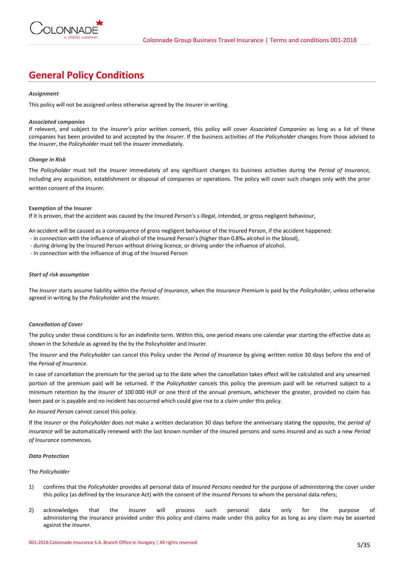

# **General Policy Conditions**

## *Assignment*

This policy will not be assigned unless otherwise agreed by the *Insurer* in writing.

## *Associated companies*

If relevant, and subject to the *Insurer'*s prior written consent, this policy will cover *Associated Companies* as long as a list of these companies has been provided to and accepted by the *Insurer*. If the business activities of the *Policyholder* changes from those advised to the *Insurer*, the *Policyholder* must tell the *Insurer* immediately.

## *Change in Risk*

The *Policyholder* must tell the *Insurer* immediately of any significant changes its business activities during the *Period of Insurance,* including any acquisition, establishment or disposal of companies or operations. The policy will cover such changes only with the prior written consent of the *Insurer.*

## **Exemption of the Insurer**

If it is proven, that the accident was caused by the Insured Person's s illegal, intended, or gross negligent behaviour,

An accident will be caused as a consequence of gross negligent behaviour of the Insured Person, if the accident happened:

- in connection with the influence of alcohol of the Insured Person's (higher than 0.8‰ alcohol in the blood),
- during driving by the Insured Person without driving licence, or driving under the influence of alcohol.

- In connection with the influence of drug of the Insured Person

## *Start of risk assumption*

The *Insurer* starts assume liability within the *Period of Insurance*, when the *Insurance Premium* is paid by the *Policyholder*, unless otherwise agreed in writing by the *Policyholder* and the *Insurer.*

# *Cancellation of Cover*

The policy under these conditions is for an indefinite term. Within this, one period means one calendar year starting the effective date as shown in the Schedule as agreed by the by the Policyholder and Insurer.

The *Insurer* and the *Policyholder* can cancel this Policy under the *Period of Insurance* by giving written notice 30 days before the end of the *Period of Insurance*.

In case of cancellation the premium for the period up to the date when the cancellation takes effect will be calculated and any unearned portion of the premium paid will be returned. If the *Policyholder* cancels this policy the premium paid will be returned subject to a minimum retention by the *Insurer* of 100 000 HUF or one third of the annual premium, whichever the greater, provided no claim has been paid or is payable and no incident has occurred which could give rise to a claim under this policy.

# An *Insured Person* cannot cancel this policy.

If the *Insurer* or the *Policyholder* does not make a written declaration 30 days before the anniversary stating the opposite, the *period of insurance* will be automatically renewed with the last known number of the insured persons and sums insured and as such a new *Period of Insurance* commences.

## *Data Protection*

# The *Policyholder*

- 1) confirms that the *Policyholder* provides all personal data of *Insured Persons* needed for the purpose of administering the cover under this policy (as defined by the Insurance Act) with the consent of the *Insured Persons* to whom the personal data refers;
- 2) acknowledges that the *Insurer* will process such personal data only for the purpose of administering the insurance provided under this policy and claims made under this policy for as long as any claim may be asserted against the *Insurer*.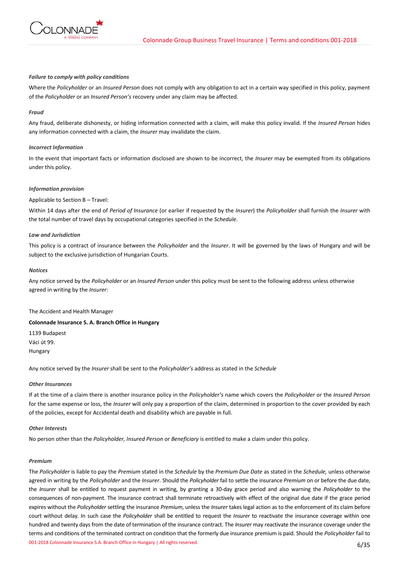

## *Failure to comply with policy conditions*

Where the *Policyholder* or an *Insured Person* does not comply with any obligation to act in a certain way specified in this policy, payment of the *Policyholder* or an *Insured Person's* recovery under any claim may be affected.

## *Fraud*

Any fraud, deliberate dishonesty, or hiding information connected with a claim, will make this policy invalid. If the *Insured Person* hides any information connected with a claim, the *Insurer* may invalidate the claim.

## *Incorrect Information*

In the event that important facts or information disclosed are shown to be incorrect, the *Insurer* may be exempted from its obligations under this policy.

## *Information provision*

## Applicable to Section B – Travel:

Within 14 days after the end of *Period of Insurance* (or earlier if requested by the *Insurer*) the *Policyholder* shall furnish the *Insurer* with the total number of travel days by occupational categories specified in the *Schedule*.

## *Law and Jurisdiction*

This policy is a contract of insurance between the *Policyholder* and the *Insurer*. It will be governed by the laws of Hungary and will be subject to the exclusive jurisdiction of Hungarian Courts.

## *Notices*

Any notice served by the *Policyholder* or an *Insured Person* under this policy must be sent to the following address unless otherwise agreed in writing by the *Insurer:*

The Accident and Health Manager

# **Colonnade Insurance S. A. Branch Office in Hungary**

1139 Budapest Váci út 99. Hungary

Any notice served by the *Insurer* shall be sent to the *Policyholder's* address as stated in the *Schedule*

## *Other Insurances*

If at the time of a claim there is another insurance policy in the *Policyholder's* name which covers the *Policyholder* or the *Insured Person* for the same expense or loss, the *Insurer* will only pay a proportion of the claim, determined in proportion to the cover provided by each of the policies, except for Accidental death and disability which are payable in full.

## *Other Interests*

No person other than the *Policyholder, Insured Person* or *Beneficiary* is entitled to make a claim under this policy.

## *Premium*

001-2018 Colonnade Insurance S.A. Branch Office in Hungary | All rights reserved. 6/35 The *Policyholder* is liable to pay the *Premium* stated in the *Schedule* by the *Premium Due Date* as stated in the *Schedule,* unless otherwise agreed in writing by the *Policyholder* and the *Insurer*. Should the *Policyholder* fail to settle the insurance *Premium* on or before the due date, the *Insurer* shall be entitled to request payment in writing, by granting a 30-day grace period and also warning the *Policyholder* to the consequences of non-payment. The insurance contract shall terminate retroactively with effect of the original due date if the grace period expires without the *Policyholder* settling the insurance *Premium*, unless the *Insurer* takes legal action as to the enforcement of its claim before court without delay. In such case the *Policyholder* shall be entitled to request the *Insurer* to reactivate the insurance coverage within one hundred and twenty days from the date of termination of the insurance contract. The *Insurer* may reactivate the insurance coverage under the terms and conditions of the terminated contract on condition that the formerly due insurance premium is paid. Should the *Policyholder* fail to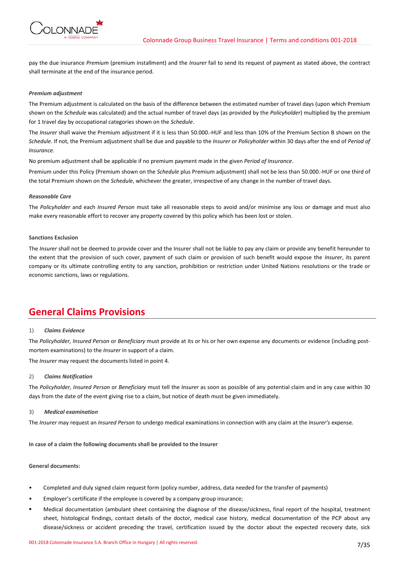

pay the due insurance *Premium* (premium installment) and the *Insurer* fail to send its request of payment as stated above, the contract shall terminate at the end of the insurance period.

## *Premium adjustment*

The Premium adjustment is calculated on the basis of the difference between the estimated number of travel days (upon which Premium shown on the *Schedule* was calculated) and the actual number of travel days (as provided by the *Policyholder*) multiplied by the premium for 1 travel day by occupational categories shown on the *Schedule*.

The *Insurer* shall waive the Premium adjustment if it is less than 50.000.-HUF and less than 10% of the Premium Section B shown on the *Schedule*. If not, the Premium adjustment shall be due and payable to the *Insurer* or *Policyholder* within 30 days after the end of *Period of Insurance.* 

No premium adjustment shall be applicable if no premium payment made in the given *Period of Insurance*.

Premium under this Policy (Premium shown on the *Schedule* plus Premium adjustment) shall not be less than 50.000.-HUF or one third of the total Premium shown on the *Schedule*, whichever the greater, irrespective of any change in the number of travel days.

## *Reasonable Care*

The *Policyholder* and each *Insured Person* must take all reasonable steps to avoid and/or minimise any loss or damage and must also make every reasonable effort to recover any property covered by this policy which has been lost or stolen.

## **Sanctions Exclusion**

The *Insurer* shall not be deemed to provide cover and the Insurer shall not be liable to pay any claim or provide any benefit hereunder to the extent that the provision of such cover, payment of such claim or provision of such benefit would expose the *Insurer*, its parent company or its ultimate controlling entity to any sanction, prohibition or restriction under United Nations resolutions or the trade or economic sanctions, laws or regulations.

# **General Claims Provisions**

# 1) *Claims Evidence*

The *Policyholder, Insured Person* or *Beneficiary* must provide at its or his or her own expense any documents or evidence (including postmortem examinations) to the *Insurer* in support of a claim.

The *Insurer* may request the documents listed in point 4.

## 2) *Claims Notification*

The *Policyholder, Insured Person* or *Beneficiary* must tell the *Insurer* as soon as possible of any potential claim and in any case within 30 days from the date of the event giving rise to a claim, but notice of death must be given immediately.

## 3) *Medical examination*

The *Insurer* may request an *Insured Person* to undergo medical examinations in connection with any claim at the *Insurer's* expense.

**In case of a claim the following documents shall be provided to the Insurer** 

## **General documents:**

- Completed and duly signed claim request form (policy number, address, data needed for the transfer of payments)
- Employer's certificate if the employee is covered by a company group insurance;
- Medical documentation (ambulant sheet containing the diagnose of the disease/sickness, final report of the hospital, treatment sheet, histological findings, contact details of the doctor, medical case history, medical documentation of the PCP about any disease/sickness or accident preceding the travel, certification issued by the doctor about the expected recovery date, sick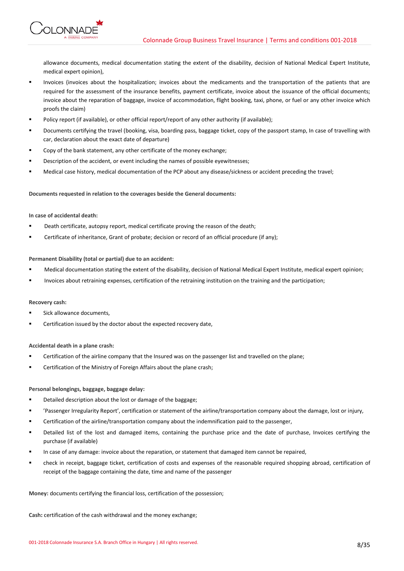**ONNADE** 

allowance documents, medical documentation stating the extent of the disability, decision of National Medical Expert Institute, medical expert opinion),

- Invoices (invoices about the hospitalization; invoices about the medicaments and the transportation of the patients that are required for the assessment of the insurance benefits, payment certificate, invoice about the issuance of the official documents; invoice about the reparation of baggage, invoice of accommodation, flight booking, taxi, phone, or fuel or any other invoice which proofs the claim)
- Policy report (if available), or other official report/report of any other authority (if available);
- Documents certifying the travel (booking, visa, boarding pass, baggage ticket, copy of the passport stamp, In case of travelling with car, declaration about the exact date of departure)
- Copy of the bank statement, any other certificate of the money exchange;
- Description of the accident, or event including the names of possible eyewitnesses;
- Medical case history, medical documentation of the PCP about any disease/sickness or accident preceding the travel;

**Documents requested in relation to the coverages beside the General documents:**

# **In case of accidental death:**

- Death certificate, autopsy report, medical certificate proving the reason of the death;
- Certificate of inheritance, Grant of probate; decision or record of an official procedure (if any);

# **Permanent Disability (total or partial) due to an accident:**

- Medical documentation stating the extent of the disability, decision of National Medical Expert Institute, medical expert opinion;
- Invoices about retraining expenses, certification of the retraining institution on the training and the participation;

# **Recovery cash:**

- Sick allowance documents,
- Certification issued by the doctor about the expected recovery date,

# **Accidental death in a plane crash:**

- Certification of the airline company that the Insured was on the passenger list and travelled on the plane;
- Certification of the Ministry of Foreign Affairs about the plane crash;

# **Personal belongings, baggage, baggage delay:**

- Detailed description about the lost or damage of the baggage:
- 'Passenger Irregularity Report', certification or statement of the airline/transportation company about the damage, lost or injury,
- Certification of the airline/transportation company about the indemnification paid to the passenger,
- Detailed list of the lost and damaged items, containing the purchase price and the date of purchase, Invoices certifying the purchase (if available)
- In case of any damage: invoice about the reparation, or statement that damaged item cannot be repaired,
- check in receipt, baggage ticket, certification of costs and expenses of the reasonable required shopping abroad, certification of receipt of the baggage containing the date, time and name of the passenger

# **Money:** documents certifying the financial loss, certification of the possession;

**Cash:** certification of the cash withdrawal and the money exchange;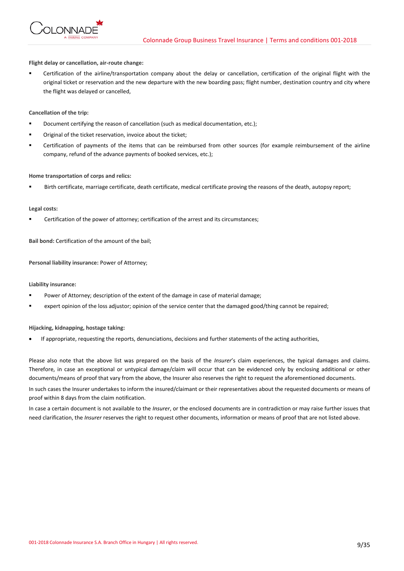

**Flight delay or cancellation, air-route change:**

Certification of the airline/transportation company about the delay or cancellation, certification of the original flight with the original ticket or reservation and the new departure with the new boarding pass; flight number, destination country and city where the flight was delayed or cancelled,

**Cancellation of the trip:**

- Document certifying the reason of cancellation (such as medical documentation, etc.):
- Original of the ticket reservation, invoice about the ticket;
- Certification of payments of the items that can be reimbursed from other sources (for example reimbursement of the airline company, refund of the advance payments of booked services, etc.);

## **Home transportation of corps and relics:**

Birth certificate, marriage certificate, death certificate, medical certificate proving the reasons of the death, autopsy report;

## **Legal costs:**

Certification of the power of attorney; certification of the arrest and its circumstances;

**Bail bond:** Certification of the amount of the bail;

**Personal liability insurance:** Power of Attorney;

**Liability insurance:**

- Power of Attorney; description of the extent of the damage in case of material damage;
- expert opinion of the loss adjustor; opinion of the service center that the damaged good/thing cannot be repaired;

**Hijacking, kidnapping, hostage taking:**

• If appropriate, requesting the reports, denunciations, decisions and further statements of the acting authorities,

Please also note that the above list was prepared on the basis of the *Insurer*'s claim experiences, the typical damages and claims. Therefore, in case an exceptional or untypical damage/claim will occur that can be evidenced only by enclosing additional or other documents/means of proof that vary from the above, the Insurer also reserves the right to request the aforementioned documents.

In such cases the Insurer undertakes to inform the insured/claimant or their representatives about the requested documents or means of proof within 8 days from the claim notification.

In case a certain document is not available to the *Insurer*, or the enclosed documents are in contradiction or may raise further issues that need clarification, the *Insurer* reserves the right to request other documents, information or means of proof that are not listed above.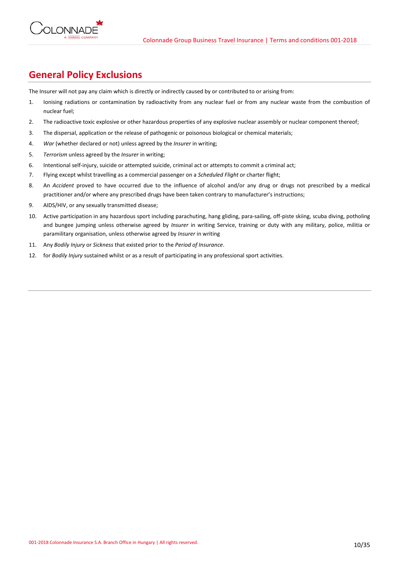

# **General Policy Exclusions**

The Insurer will not pay any claim which is directly or indirectly caused by or contributed to or arising from:

- 1. Ionising radiations or contamination by radioactivity from any nuclear fuel or from any nuclear waste from the combustion of nuclear fuel;
- 2. The radioactive toxic explosive or other hazardous properties of any explosive nuclear assembly or nuclear component thereof;
- 3. The dispersal, application or the release of pathogenic or poisonous biological or chemical materials;
- 4. *War* (whether declared or not) unless agreed by the *Insurer* in writing;
- 5. *Terrorism* unless agreed by the *Insurer* in writing;
- 6. Intentional self-injury, suicide or attempted suicide, criminal act or attempts to commit a criminal act;
- 7. Flying except whilst travelling as a commercial passenger on a *Scheduled Flight* or charter flight;
- 8. An *Accident* proved to have occurred due to the influence of alcohol and/or any drug or drugs not prescribed by a medical practitioner and/or where any prescribed drugs have been taken contrary to manufacturer's instructions;
- 9. AIDS/HIV, or any sexually transmitted disease;
- 10. Active participation in any hazardous sport including parachuting, hang gliding, para-sailing, off-piste skiing, scuba diving, potholing and bungee jumping unless otherwise agreed by *Insurer* in writing Service, training or duty with any military, police, militia or paramilitary organisation, unless otherwise agreed by *Insurer* in writing
- 11. Any *Bodily Injury* or *Sickness* that existed prior to the *Period of Insurance*.
- 12. for *Bodily Injury* sustained whilst or as a result of participating in any professional sport activities.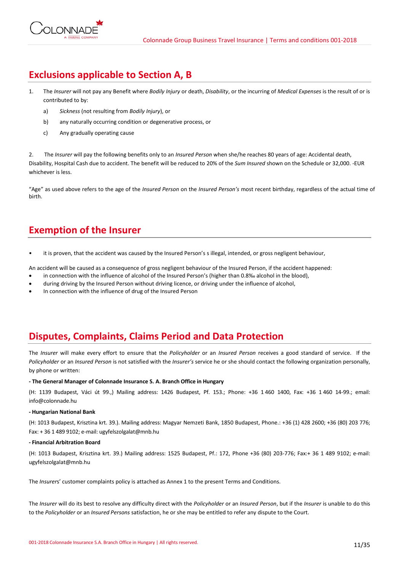

# **Exclusions applicable to Section A, B**

- 1. The *Insurer* will not pay any Benefit where *Bodily Injury* or death, *Disability*, or the incurring of *Medical Expenses* is the result of or is contributed to by:
	- a) *Sickness* (not resulting from *Bodily Injury*), or
	- b) any naturally occurring condition or degenerative process, or
	- c) Any gradually operating cause

2. The *Insurer* will pay the following benefits only to an *Insured Person* when she/he reaches 80 years of age: Accidental death, Disability, Hospital Cash due to accident. The benefit will be reduced to 20% of the *Sum Insured* shown on the Schedule or 32,000. -EUR whichever is less.

"Age" as used above refers to the age of the *Insured Person* on the *Insured Person's* most recent birthday, regardless of the actual time of birth.

# **Exemption of the Insurer**

• it is proven, that the accident was caused by the Insured Person's s illegal, intended, or gross negligent behaviour,

An accident will be caused as a consequence of gross negligent behaviour of the Insured Person, if the accident happened:

- in connection with the influence of alcohol of the Insured Person's (higher than 0.8‰ alcohol in the blood),
- during driving by the Insured Person without driving licence, or driving under the influence of alcohol,
- In connection with the influence of drug of the Insured Person

# **Disputes, Complaints, Claims Period and Data Protection**

The *Insurer* will make every effort to ensure that the *Policyholder* or an *Insured Person* receives a good standard of service. If the *Policyholder* or an *Insured Person* is not satisfied with the *Insurer's* service he or she should contact the following organization personally, by phone or written:

# **- The General Manager of Colonnade Insurance S. A. Branch Office in Hungary**

(H: 1139 Budapest, Váci út 99.,) Mailing address: 1426 Budapest, Pf. 153.; Phone: +36 1 460 1400, Fax: +36 1 460 14-99.; email: info@colonnade.hu

# **- Hungarian National Bank**

(H: 1013 Budapest, Krisztina krt. 39.). Mailing address: Magyar Nemzeti Bank, 1850 Budapest, Phone.: +36 (1) 428 2600; +36 (80) 203 776; Fax: + 36 1 489 9102; e-mail: ugyfelszolgalat@mnb.hu

# **- Financial Arbitration Board**

(H: 1013 Budapest, Krisztina krt. 39.) Mailing address: 1525 Budapest, Pf.: 172, Phone +36 (80) 203-776; Fax:+ 36 1 489 9102; e-mail: ugyfelszolgalat@mnb.hu

The *Insurer*s' customer complaints policy is attached as Annex 1 to the present Terms and Conditions.

The *Insurer* will do its best to resolve any difficulty direct with the *Policyholder* or an *Insured Person*, but if the *Insurer* is unable to do this to the *Policyholder* or an *Insured Persons* satisfaction, he or she may be entitled to refer any dispute to the Court.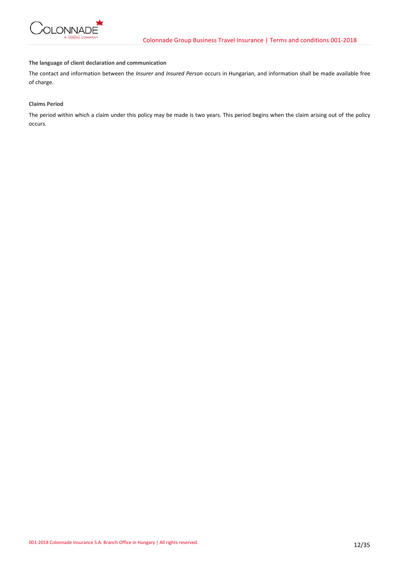

# **The language of client declaration and communication**

The contact and information between the *Insurer* and *Insured Person* occurs in Hungarian, and information shall be made available free of charge.

# **Claims Period**

The period within which a claim under this policy may be made is two years. This period begins when the claim arising out of the policy occurs.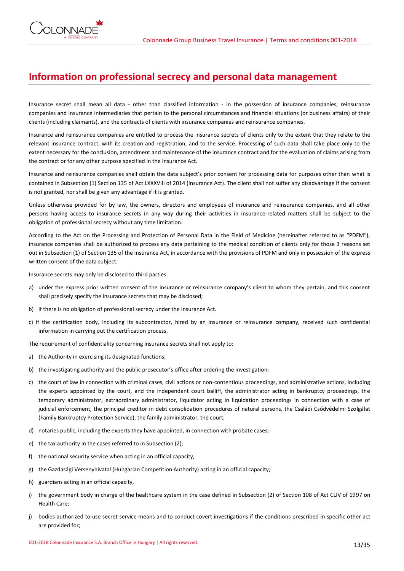# **Information on professional secrecy and personal data management**

Insurance secret shall mean all data - other than classified information - in the possession of insurance companies, reinsurance companies and insurance intermediaries that pertain to the personal circumstances and financial situations (or business affairs) of their clients (including claimants), and the contracts of clients with insurance companies and reinsurance companies.

Insurance and reinsurance companies are entitled to process the insurance secrets of clients only to the extent that they relate to the relevant insurance contract, with its creation and registration, and to the service. Processing of such data shall take place only to the extent necessary for the conclusion, amendment and maintenance of the insurance contract and for the evaluation of claims arising from the contract or for any other purpose specified in the Insurance Act.

Insurance and reinsurance companies shall obtain the data subject's prior consent for processing data for purposes other than what is contained in Subsection (1) Section 135 of Act LXXXVIII of 2014 (Insurance Act). The client shall not suffer any disadvantage if the consent is not granted, nor shall be given any advantage if it is granted.

Unless otherwise provided for by law, the owners, directors and employees of insurance and reinsurance companies, and all other persons having access to insurance secrets in any way during their activities in insurance-related matters shall be subject to the obligation of professional secrecy without any time limitation.

According to the Act on the Processing and Protection of Personal Data in the Field of Medicine (hereinafter referred to as "PDFM"), insurance companies shall be authorized to process any data pertaining to the medical condition of clients only for those 3 reasons set out in Subsection (1) of Section 135 of the Insurance Act, in accordance with the provisions of PDFM and only in possession of the express written consent of the data subject.

Insurance secrets may only be disclosed to third parties:

- a) under the express prior written consent of the insurance or reinsurance company's client to whom they pertain, and this consent shall precisely specify the insurance secrets that may be disclosed;
- b) if there is no obligation of professional secrecy under the Insurance Act.
- c) if the certification body, including its subcontractor, hired by an insurance or reinsurance company, received such confidential information in carrying out the certification process.
- The requirement of confidentiality concerning insurance secrets shall not apply to:
- a) the Authority in exercising its designated functions;
- b) the investigating authority and the public prosecutor's office after ordering the investigation;
- c) the court of law in connection with criminal cases, civil actions or non-contentious proceedings, and administrative actions, including the experts appointed by the court, and the independent court bailiff, the administrator acting in bankruptcy proceedings, the temporary administrator, extraordinary administrator, liquidator acting in liquidation proceedings in connection with a case of judicial enforcement, the principal creditor in debt consolidation procedures of natural persons, the Családi Csődvédelmi Szolgálat (Family Bankruptcy Protection Service), the family administrator, the court;
- d) notaries public, including the experts they have appointed, in connection with probate cases;
- e) the tax authority in the cases referred to in Subsection (2);
- f) the national security service when acting in an official capacity,
- g) the Gazdasági Versenyhivatal (Hungarian Competition Authority) acting in an official capacity;
- h) guardians acting in an official capacity,
- i) the government body in charge of the healthcare system in the case defined in Subsection (2) of Section 108 of Act CLIV of 1997 on Health Care;
- j) bodies authorized to use secret service means and to conduct covert investigations if the conditions prescribed in specific other act are provided for;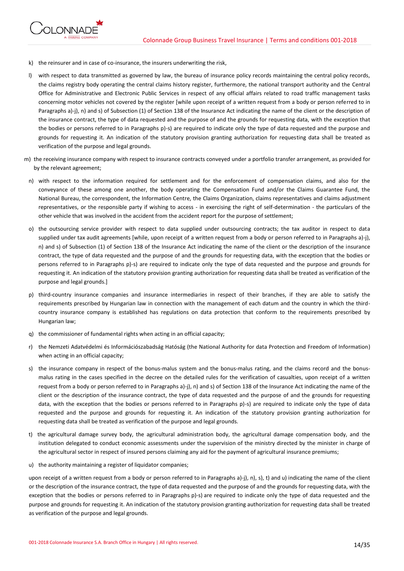

- k) the reinsurer and in case of co-insurance, the insurers underwriting the risk,
- l) with respect to data transmitted as governed by law, the bureau of insurance policy records maintaining the central policy records, the claims registry body operating the central claims history register, furthermore, the national transport authority and the Central Office for Administrative and Electronic Public Services in respect of any official affairs related to road traffic management tasks concerning motor vehicles not covered by the register [while upon receipt of a written request from a body or person referred to in Paragraphs a)-j), n) and s) of Subsection (1) of Section 138 of the Insurance Act indicating the name of the client or the description of the insurance contract, the type of data requested and the purpose of and the grounds for requesting data, with the exception that the bodies or persons referred to in Paragraphs p)-s) are required to indicate only the type of data requested and the purpose and grounds for requesting it. An indication of the statutory provision granting authorization for requesting data shall be treated as verification of the purpose and legal grounds.
- m) the receiving insurance company with respect to insurance contracts conveyed under a portfolio transfer arrangement, as provided for by the relevant agreement;
	- n) with respect to the information required for settlement and for the enforcement of compensation claims, and also for the conveyance of these among one another, the body operating the Compensation Fund and/or the Claims Guarantee Fund, the National Bureau, the correspondent, the Information Centre, the Claims Organization, claims representatives and claims adjustment representatives, or the responsible party if wishing to access - in exercising the right of self-determination - the particulars of the other vehicle that was involved in the accident from the accident report for the purpose of settlement;
	- o) the outsourcing service provider with respect to data supplied under outsourcing contracts; the tax auditor in respect to data supplied under tax audit agreements [while, upon receipt of a written request from a body or person referred to in Paragraphs a)-j), n) and s) of Subsection (1) of Section 138 of the Insurance Act indicating the name of the client or the description of the insurance contract, the type of data requested and the purpose of and the grounds for requesting data, with the exception that the bodies or persons referred to in Paragraphs p)-s) are required to indicate only the type of data requested and the purpose and grounds for requesting it. An indication of the statutory provision granting authorization for requesting data shall be treated as verification of the purpose and legal grounds.]
	- p) third-country insurance companies and insurance intermediaries in respect of their branches, if they are able to satisfy the requirements prescribed by Hungarian law in connection with the management of each datum and the country in which the thirdcountry insurance company is established has regulations on data protection that conform to the requirements prescribed by Hungarian law;
	- q) the commissioner of fundamental rights when acting in an official capacity;
	- r) the Nemzeti Adatvédelmi és Információszabadság Hatóság (the National Authority for data Protection and Freedom of Information) when acting in an official capacity;
	- s) the insurance company in respect of the bonus-malus system and the bonus-malus rating, and the claims record and the bonusmalus rating in the cases specified in the decree on the detailed rules for the verification of casualties, upon receipt of a written request from a body or person referred to in Paragraphs a)-j), n) and s) of Section 138 of the Insurance Act indicating the name of the client or the description of the insurance contract, the type of data requested and the purpose of and the grounds for requesting data, with the exception that the bodies or persons referred to in Paragraphs p)-s) are required to indicate only the type of data requested and the purpose and grounds for requesting it. An indication of the statutory provision granting authorization for requesting data shall be treated as verification of the purpose and legal grounds.
	- t) the agricultural damage survey body, the agricultural administration body, the agricultural damage compensation body, and the institution delegated to conduct economic assessments under the supervision of the ministry directed by the minister in charge of the agricultural sector in respect of insured persons claiming any aid for the payment of agricultural insurance premiums;
	- u) the authority maintaining a register of liquidator companies;

upon receipt of a written request from a body or person referred to in Paragraphs a)-j), n), s), t) and u) indicating the name of the client or the description of the insurance contract, the type of data requested and the purpose of and the grounds for requesting data, with the exception that the bodies or persons referred to in Paragraphs p)-s) are required to indicate only the type of data requested and the purpose and grounds for requesting it. An indication of the statutory provision granting authorization for requesting data shall be treated as verification of the purpose and legal grounds.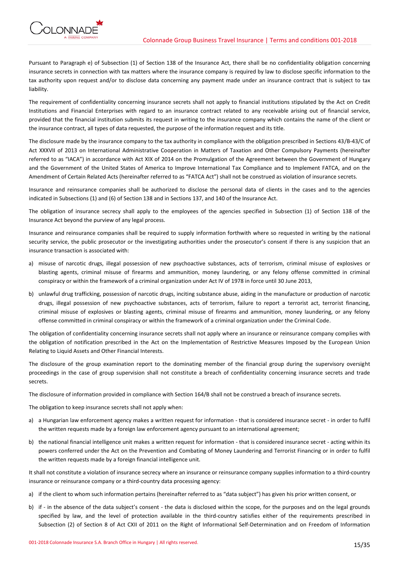

Pursuant to Paragraph e) of Subsection (1) of Section 138 of the Insurance Act, there shall be no confidentiality obligation concerning insurance secrets in connection with tax matters where the insurance company is required by law to disclose specific information to the tax authority upon request and/or to disclose data concerning any payment made under an insurance contract that is subject to tax liability.

The requirement of confidentiality concerning insurance secrets shall not apply to financial institutions stipulated by the Act on Credit Institutions and Financial Enterprises with regard to an insurance contract related to any receivable arising out of financial service, provided that the financial institution submits its request in writing to the insurance company which contains the name of the client or the insurance contract, all types of data requested, the purpose of the information request and its title.

The disclosure made by the insurance company to the tax authority in compliance with the obligation prescribed in Sections 43/B-43/C of Act XXXVII of 2013 on International Administrative Cooperation in Matters of Taxation and Other Compulsory Payments (hereinafter referred to as "IACA") in accordance with Act XIX of 2014 on the Promulgation of the Agreement between the Government of Hungary and the Government of the United States of America to Improve International Tax Compliance and to Implement FATCA, and on the Amendment of Certain Related Acts (hereinafter referred to as "FATCA Act") shall not be construed as violation of insurance secrets.

Insurance and reinsurance companies shall be authorized to disclose the personal data of clients in the cases and to the agencies indicated in Subsections (1) and (6) of Section 138 and in Sections 137, and 140 of the Insurance Act.

The obligation of insurance secrecy shall apply to the employees of the agencies specified in Subsection (1) of Section 138 of the Insurance Act beyond the purview of any legal process.

Insurance and reinsurance companies shall be required to supply information forthwith where so requested in writing by the national security service, the public prosecutor or the investigating authorities under the prosecutor's consent if there is any suspicion that an insurance transaction is associated with:

- a) misuse of narcotic drugs, illegal possession of new psychoactive substances, acts of terrorism, criminal misuse of explosives or blasting agents, criminal misuse of firearms and ammunition, money laundering, or any felony offense committed in criminal conspiracy or within the framework of a criminal organization under Act IV of 1978 in force until 30 June 2013,
- b) unlawful drug trafficking, possession of narcotic drugs, inciting substance abuse, aiding in the manufacture or production of narcotic drugs, illegal possession of new psychoactive substances, acts of terrorism, failure to report a terrorist act, terrorist financing, criminal misuse of explosives or blasting agents, criminal misuse of firearms and ammunition, money laundering, or any felony offense committed in criminal conspiracy or within the framework of a criminal organization under the Criminal Code.

The obligation of confidentiality concerning insurance secrets shall not apply where an insurance or reinsurance company complies with the obligation of notification prescribed in the Act on the Implementation of Restrictive Measures Imposed by the European Union Relating to Liquid Assets and Other Financial Interests.

The disclosure of the group examination report to the dominating member of the financial group during the supervisory oversight proceedings in the case of group supervision shall not constitute a breach of confidentiality concerning insurance secrets and trade secrets.

The disclosure of information provided in compliance with Section 164/B shall not be construed a breach of insurance secrets.

The obligation to keep insurance secrets shall not apply when:

- a) a Hungarian law enforcement agency makes a written request for information that is considered insurance secret in order to fulfil the written requests made by a foreign law enforcement agency pursuant to an international agreement;
- b) the national financial intelligence unit makes a written request for information that is considered insurance secret acting within its powers conferred under the Act on the Prevention and Combating of Money Laundering and Terrorist Financing or in order to fulfil the written requests made by a foreign financial intelligence unit.

It shall not constitute a violation of insurance secrecy where an insurance or reinsurance company supplies information to a third-country insurance or reinsurance company or a third-country data processing agency:

- a) if the client to whom such information pertains (hereinafter referred to as "data subject") has given his prior written consent, or
- b) if in the absence of the data subject's consent the data is disclosed within the scope, for the purposes and on the legal grounds specified by law, and the level of protection available in the third-country satisfies either of the requirements prescribed in Subsection (2) of Section 8 of Act CXII of 2011 on the Right of Informational Self-Determination and on Freedom of Information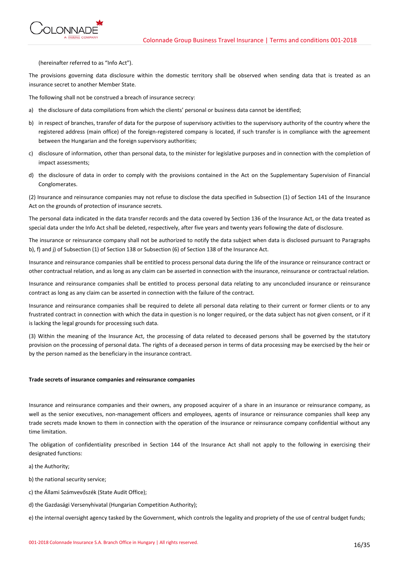

(hereinafter referred to as "Info Act").

The provisions governing data disclosure within the domestic territory shall be observed when sending data that is treated as an insurance secret to another Member State.

The following shall not be construed a breach of insurance secrecy:

- a) the disclosure of data compilations from which the clients' personal or business data cannot be identified;
- b) in respect of branches, transfer of data for the purpose of supervisory activities to the supervisory authority of the country where the registered address (main office) of the foreign-registered company is located, if such transfer is in compliance with the agreement between the Hungarian and the foreign supervisory authorities;
- c) disclosure of information, other than personal data, to the minister for legislative purposes and in connection with the completion of impact assessments;
- d) the disclosure of data in order to comply with the provisions contained in the Act on the Supplementary Supervision of Financial Conglomerates.

(2) Insurance and reinsurance companies may not refuse to disclose the data specified in Subsection (1) of Section 141 of the Insurance Act on the grounds of protection of insurance secrets.

The personal data indicated in the data transfer records and the data covered by Section 136 of the Insurance Act, or the data treated as special data under the Info Act shall be deleted, respectively, after five years and twenty years following the date of disclosure.

The insurance or reinsurance company shall not be authorized to notify the data subject when data is disclosed pursuant to Paragraphs b), f) and j) of Subsection (1) of Section 138 or Subsection (6) of Section 138 of the Insurance Act.

Insurance and reinsurance companies shall be entitled to process personal data during the life of the insurance or reinsurance contract or other contractual relation, and as long as any claim can be asserted in connection with the insurance, reinsurance or contractual relation.

Insurance and reinsurance companies shall be entitled to process personal data relating to any unconcluded insurance or reinsurance contract as long as any claim can be asserted in connection with the failure of the contract.

Insurance and reinsurance companies shall be required to delete all personal data relating to their current or former clients or to any frustrated contract in connection with which the data in question is no longer required, or the data subject has not given consent, or if it is lacking the legal grounds for processing such data.

(3) Within the meaning of the Insurance Act, the processing of data related to deceased persons shall be governed by the statutory provision on the processing of personal data. The rights of a deceased person in terms of data processing may be exercised by the heir or by the person named as the beneficiary in the insurance contract.

## **Trade secrets of insurance companies and reinsurance companies**

Insurance and reinsurance companies and their owners, any proposed acquirer of a share in an insurance or reinsurance company, as well as the senior executives, non-management officers and employees, agents of insurance or reinsurance companies shall keep any trade secrets made known to them in connection with the operation of the insurance or reinsurance company confidential without any time limitation.

The obligation of confidentiality prescribed in Section 144 of the Insurance Act shall not apply to the following in exercising their designated functions:

- a) the Authority;
- b) the national security service;
- c) the Állami Számvevőszék (State Audit Office);
- d) the Gazdasági Versenyhivatal (Hungarian Competition Authority);

e) the internal oversight agency tasked by the Government, which controls the legality and propriety of the use of central budget funds;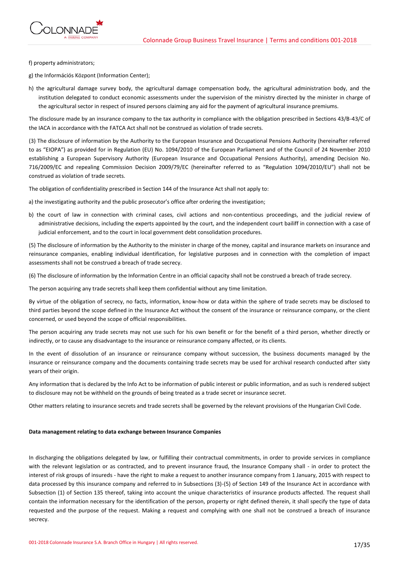

f) property administrators;

g) the Információs Központ (Information Center);

h) the agricultural damage survey body, the agricultural damage compensation body, the agricultural administration body, and the institution delegated to conduct economic assessments under the supervision of the ministry directed by the minister in charge of the agricultural sector in respect of insured persons claiming any aid for the payment of agricultural insurance premiums.

The disclosure made by an insurance company to the tax authority in compliance with the obligation prescribed in Sections 43/B-43/C of the IACA in accordance with the FATCA Act shall not be construed as violation of trade secrets.

(3) The disclosure of information by the Authority to the European Insurance and Occupational Pensions Authority (hereinafter referred to as "EIOPA") as provided for in Regulation (EU) No. 1094/2010 of the European Parliament and of the Council of 24 November 2010 establishing a European Supervisory Authority (European Insurance and Occupational Pensions Authority), amending Decision No. 716/2009/EC and repealing Commission Decision 2009/79/EC (hereinafter referred to as "Regulation 1094/2010/EU") shall not be construed as violation of trade secrets.

The obligation of confidentiality prescribed in Section 144 of the Insurance Act shall not apply to:

a) the investigating authority and the public prosecutor's office after ordering the investigation;

b) the court of law in connection with criminal cases, civil actions and non-contentious proceedings, and the judicial review of administrative decisions, including the experts appointed by the court, and the independent court bailiff in connection with a case of judicial enforcement, and to the court in local government debt consolidation procedures.

(5) The disclosure of information by the Authority to the minister in charge of the money, capital and insurance markets on insurance and reinsurance companies, enabling individual identification, for legislative purposes and in connection with the completion of impact assessments shall not be construed a breach of trade secrecy.

(6) The disclosure of information by the Information Centre in an official capacity shall not be construed a breach of trade secrecy.

The person acquiring any trade secrets shall keep them confidential without any time limitation.

By virtue of the obligation of secrecy, no facts, information, know-how or data within the sphere of trade secrets may be disclosed to third parties beyond the scope defined in the Insurance Act without the consent of the insurance or reinsurance company, or the client concerned, or used beyond the scope of official responsibilities.

The person acquiring any trade secrets may not use such for his own benefit or for the benefit of a third person, whether directly or indirectly, or to cause any disadvantage to the insurance or reinsurance company affected, or its clients.

In the event of dissolution of an insurance or reinsurance company without succession, the business documents managed by the insurance or reinsurance company and the documents containing trade secrets may be used for archival research conducted after sixty years of their origin.

Any information that is declared by the Info Act to be information of public interest or public information, and as such is rendered subject to disclosure may not be withheld on the grounds of being treated as a trade secret or insurance secret.

Other matters relating to insurance secrets and trade secrets shall be governed by the relevant provisions of the Hungarian Civil Code.

# **Data management relating to data exchange between Insurance Companies**

In discharging the obligations delegated by law, or fulfilling their contractual commitments, in order to provide services in compliance with the relevant legislation or as contracted, and to prevent insurance fraud, the Insurance Company shall - in order to protect the interest of risk groups of insureds - have the right to make a request to another insurance company from 1 January, 2015 with respect to data processed by this insurance company and referred to in Subsections (3)-(5) of Section 149 of the Insurance Act in accordance with Subsection (1) of Section 135 thereof, taking into account the unique characteristics of insurance products affected. The request shall contain the information necessary for the identification of the person, property or right defined therein, it shall specify the type of data requested and the purpose of the request. Making a request and complying with one shall not be construed a breach of insurance secrecy.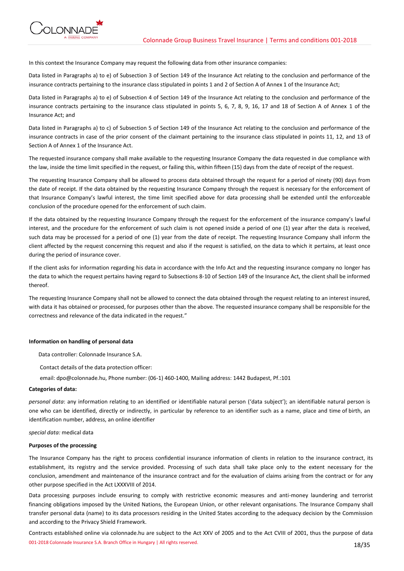

In this context the Insurance Company may request the following data from other insurance companies:

Data listed in Paragraphs a) to e) of Subsection 3 of Section 149 of the Insurance Act relating to the conclusion and performance of the insurance contracts pertaining to the insurance class stipulated in points 1 and 2 of Section A of Annex 1 of the Insurance Act;

Data listed in Paragraphs a) to e) of Subsection 4 of Section 149 of the Insurance Act relating to the conclusion and performance of the insurance contracts pertaining to the insurance class stipulated in points 5, 6, 7, 8, 9, 16, 17 and 18 of Section A of Annex 1 of the Insurance Act; and

Data listed in Paragraphs a) to c) of Subsection 5 of Section 149 of the Insurance Act relating to the conclusion and performance of the insurance contracts in case of the prior consent of the claimant pertaining to the insurance class stipulated in points 11, 12, and 13 of Section A of Annex 1 of the Insurance Act.

The requested insurance company shall make available to the requesting Insurance Company the data requested in due compliance with the law, inside the time limit specified in the request, or failing this, within fifteen (15) days from the date of receipt of the request.

The requesting Insurance Company shall be allowed to process data obtained through the request for a period of ninety (90) days from the date of receipt. If the data obtained by the requesting Insurance Company through the request is necessary for the enforcement of that Insurance Company's lawful interest, the time limit specified above for data processing shall be extended until the enforceable conclusion of the procedure opened for the enforcement of such claim.

If the data obtained by the requesting Insurance Company through the request for the enforcement of the insurance company's lawful interest, and the procedure for the enforcement of such claim is not opened inside a period of one (1) year after the data is received, such data may be processed for a period of one (1) year from the date of receipt. The requesting Insurance Company shall inform the client affected by the request concerning this request and also if the request is satisfied, on the data to which it pertains, at least once during the period of insurance cover.

If the client asks for information regarding his data in accordance with the Info Act and the requesting insurance company no longer has the data to which the request pertains having regard to Subsections 8-10 of Section 149 of the Insurance Act, the client shall be informed thereof.

The requesting Insurance Company shall not be allowed to connect the data obtained through the request relating to an interest insured, with data it has obtained or processed, for purposes other than the above. The requested insurance company shall be responsible for the correctness and relevance of the data indicated in the request."

# **Information on handling of personal data**

Data controller: Colonnade Insurance S.A.

Contact details of the data protection officer:

email: dpo@colonnade.hu, Phone number: (06-1) 460-1400, Mailing address: 1442 Budapest, Pf.:101

# **Categories of data:**

*personal data*: any information relating to an identified or identifiable natural person ('data subject'); an identifiable natural person is one who can be identified, directly or indirectly, in particular by reference to an identifier such as a name, place and time of birth, an identification number, address, an online identifier

*special data:* medical data

## **Purposes of the processing**

The Insurance Company has the right to process confidential insurance information of clients in relation to the insurance contract, its establishment, its registry and the service provided. Processing of such data shall take place only to the extent necessary for the conclusion, amendment and maintenance of the insurance contract and for the evaluation of claims arising from the contract or for any other purpose specified in the Act LXXXVIII of 2014.

Data processing purposes include ensuring to comply with restrictive economic measures and anti-money laundering and terrorist financing obligations imposed by the United Nations, the European Union, or other relevant organisations. The Insurance Company shall transfer personal data (name) to its data processors residing in the United States according to the adequacy decision by the Commission and according to the Privacy Shield Framework.

001-2018 Colonnade Insurance S.A. Branch Office in Hungary | All rights reserved. 18/35 Contracts established online via colonnade.hu are subject to the Act XXV of 2005 and to the Act CVIII of 2001, thus the purpose of data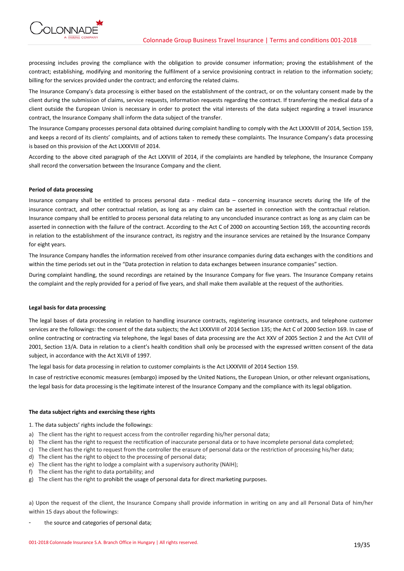



processing includes proving the compliance with the obligation to provide consumer information; proving the establishment of the contract; establishing, modifying and monitoring the fulfilment of a service provisioning contract in relation to the information society; billing for the services provided under the contract; and enforcing the related claims.

The Insurance Company's data processing is either based on the establishment of the contract, or on the voluntary consent made by the client during the submission of claims, service requests, information requests regarding the contract. If transferring the medical data of a client outside the European Union is necessary in order to protect the vital interests of the data subject regarding a travel insurance contract, the Insurance Company shall inform the data subject of the transfer.

The Insurance Company processes personal data obtained during complaint handling to comply with the Act LXXXVIII of 2014, Section 159, and keeps a record of its clients' complaints, and of actions taken to remedy these complaints. The Insurance Company's data processing is based on this provision of the Act LXXXVIII of 2014.

According to the above cited paragraph of the Act LXXVIII of 2014, if the complaints are handled by telephone, the Insurance Company shall record the conversation between the Insurance Company and the client.

# **Period of data processing**

Insurance company shall be entitled to process personal data - medical data – concerning insurance secrets during the life of the insurance contract, and other contractual relation, as long as any claim can be asserted in connection with the contractual relation. Insurance company shall be entitled to process personal data relating to any unconcluded insurance contract as long as any claim can be asserted in connection with the failure of the contract. According to the Act C of 2000 on accounting Section 169, the accounting records in relation to the establishment of the insurance contract, its registry and the insurance services are retained by the Insurance Company for eight years.

The Insurance Company handles the information received from other insurance companies during data exchanges with the conditions and within the time periods set out in the "Data protection in relation to data exchanges between insurance companies" section.

During complaint handling, the sound recordings are retained by the Insurance Company for five years. The Insurance Company retains the complaint and the reply provided for a period of five years, and shall make them available at the request of the authorities.

# **Legal basis for data processing**

The legal bases of data processing in relation to handling insurance contracts, registering insurance contracts, and telephone customer services are the followings: the consent of the data subjects; the Act LXXXVIII of 2014 Section 135; the Act C of 2000 Section 169. In case of online contracting or contracting via telephone, the legal bases of data processing are the Act XXV of 2005 Section 2 and the Act CVIII of 2001, Section 13/A. Data in relation to a client's health condition shall only be processed with the expressed written consent of the data subject, in accordance with the Act XLVII of 1997.

The legal basis for data processing in relation to customer complaints is the Act LXXXVIII of 2014 Section 159.

In case of restrictive economic measures (embargo) imposed by the United Nations, the European Union, or other relevant organisations, the legal basis for data processing is the legitimate interest of the Insurance Company and the compliance with its legal obligation.

# **The data subject rights and exercising these rights**

1. The data subjects' rights include the followings:

- a) The client has the right to request access from the controller regarding his/her personal data;
- b) The client has the right to request the rectification of inaccurate personal data or to have incomplete personal data completed;
- c) The client has the right to request from the controller the erasure of personal data or the restriction of processing his/her data;
- d) The client has the right to object to the processing of personal data;
- e) The client has the right to lodge a complaint with a supervisory authority (NAIH);
- f) The client has the right to data portability; and
- g) The client has the right to prohibit the usage of personal data for direct marketing purposes.

a) Upon the request of the client, the Insurance Company shall provide information in writing on any and all Personal Data of him/her within 15 days about the followings:

the source and categories of personal data;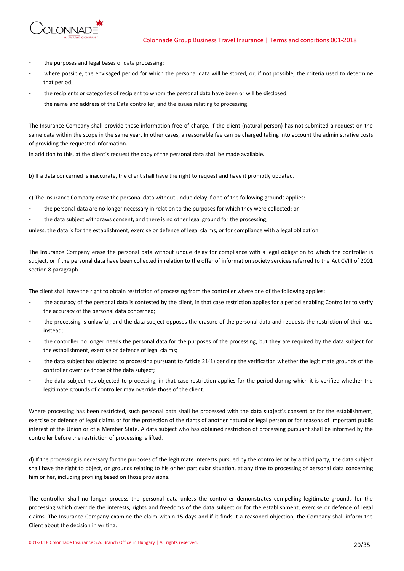

- the purposes and legal bases of data processing;
- where possible, the envisaged period for which the personal data will be stored, or, if not possible, the criteria used to determine that period;
- the recipients or categories of recipient to whom the personal data have been or will be disclosed;
- the name and address of the Data controller, and the issues relating to processing.

The Insurance Company shall provide these information free of charge, if the client (natural person) has not submited a request on the same data within the scope in the same year. In other cases, a reasonable fee can be charged taking into account the administrative costs of providing the requested information.

In addition to this, at the client's request the copy of the personal data shall be made available.

b) If a data concerned is inaccurate, the client shall have the right to request and have it promptly updated.

c) The Insurance Company erase the personal data without undue delay if one of the following grounds applies:

- the personal data are no longer necessary in relation to the purposes for which they were collected; or
- the data subject withdraws consent, and there is no other legal ground for the processing;

unless, the data is for the establishment, exercise or defence of legal claims, or for compliance with a legal obligation.

The Insurance Company erase the personal data without undue delay for compliance with a legal obligation to which the controller is subject, or if the personal data have been collected in relation to the offer of information society services referred to the Act CVIII of 2001 section 8 paragraph 1.

The client shall have the right to obtain restriction of processing from the controller where one of the following applies:

- the accuracy of the personal data is contested by the client, in that case restriction applies for a period enabling Controller to verify the accuracy of the personal data concerned;
- the processing is unlawful, and the data subject opposes the erasure of the personal data and requests the restriction of their use instead;
- the controller no longer needs the personal data for the purposes of the processing, but they are required by the data subject for the establishment, exercise or defence of legal claims;
- the data subject has objected to processing pursuant to Article 21(1) pending the verification whether the legitimate grounds of the controller override those of the data subject;
- the data subject has objected to processing, in that case restriction applies for the period during which it is verified whether the legitimate grounds of controller may override those of the client.

Where processing has been restricted, such personal data shall be processed with the data subject's consent or for the establishment, exercise or defence of legal claims or for the protection of the rights of another natural or legal person or for reasons of important public interest of the Union or of a Member State. A data subject who has obtained restriction of processing pursuant shall be informed by the controller before the restriction of processing is lifted.

d) If the processing is necessary for the purposes of the legitimate interests pursued by the controller or by a third party, the data subject shall have the right to object, on grounds relating to his or her particular situation, at any time to processing of personal data concerning him or her, including profiling based on those provisions.

The controller shall no longer process the personal data unless the controller demonstrates compelling legitimate grounds for the processing which override the interests, rights and freedoms of the data subject or for the establishment, exercise or defence of legal claims. The Insurance Company examine the claim within 15 days and if it finds it a reasoned objection, the Company shall inform the Client about the decision in writing.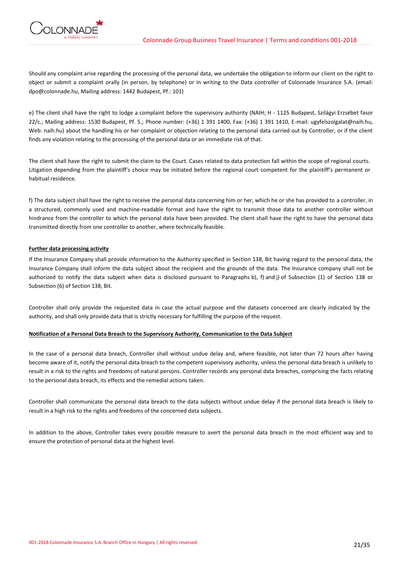

Should any complaint arise regarding the processing of the personal data, we undertake the obligation to inform our client on the right to object or submit a complaint orally (in person, by telephone) or in writing to the Data controller of Colonnade Insurance S.A. (email: dpo@colonnade.hu, Mailing address: 1442 Budapest, Pf.: 101)

e) The client shall have the right to lodge a complaint before the supervisory authority (NAIH; H - 1125 Budapest, Szilágyi Erzsébet fasor 22/c.; Mailing address: 1530 Budapest, Pf. 5.; Phone number: (+36) 1 391 1400, Fax: (+36) 1 391 1410, E-mail: ugyfelszolgalat@naih.hu, Web: naih.hu) about the handling his or her complaint or objection relating to the personal data carried out by Controller, or if the client finds any violation relating to the processing of the personal data or an immediate risk of that.

The client shall have the right to submit the claim to the Court. Cases related to data protection fall within the scope of regional courts. Litigation depending from the plaintiff's choice may be initiated before the regional court competent for the plaintiff's permanent or habitual residence.

f) The data subject shall have the right to receive the personal data concerning him or her, which he or she has provided to a controller, in a structured, commonly used and machine-readable format and have the right to transmit those data to another controller without hindrance from the controller to which the personal data have been provided. The client shall have the right to have the personal data transmitted directly from one controller to another, where technically feasible.

# **Further data processing activity**

If the Insurance Company shall provide information to the Authority specified in Section 138, Bit having regard to the personal data, the Insurance Company shall inform the data subject about the recipient and the grounds of the data. The Insurance company shall not be authorized to notify the data subject when data is disclosed pursuant to Paragraphs b), f) and j) of Subsection (1) of Section 138 or Subsection (6) of Section 138, Bit.

Controller shall only provide the requested data in case the actual purpose and the datasets concerned are clearly indicated by the authority, and shall only provide data that is strictly necessary for fulfilling the purpose of the request.

# **Notification of a Personal Data Breach to the Supervisory Authority, Communication to the Data Subject**

In the case of a personal data breach, Controller shall without undue delay and, where feasible, not later than 72 hours after having become aware of it, notify the personal data breach to the competent supervisory authority, unless the personal data breach is unlikely to result in a risk to the rights and freedoms of natural persons. Controller records any personal data breaches, comprising the facts relating to the personal data breach, its effects and the remedial actions taken.

Controller shall communicate the personal data breach to the data subjects without undue delay if the personal data breach is likely to result in a high risk to the rights and freedoms of the concerned data subjects.

In addition to the above, Controller takes every possible measure to avert the personal data breach in the most efficient way and to ensure the protection of personal data at the highest level.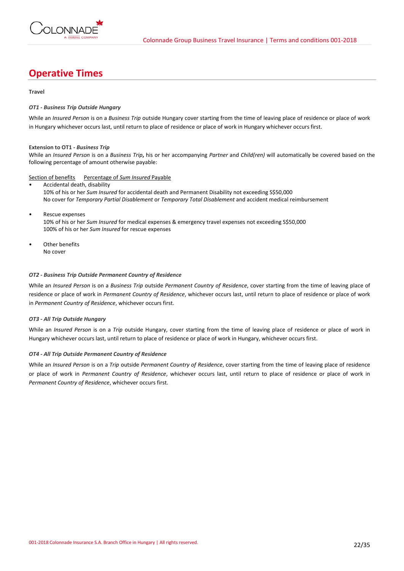

# **Operative Times**

# **Travel**

# *OT1 - Business Trip Outside Hungary*

While an *Insured Person* is on a *Business Trip* outside Hungary cover starting from the time of leaving place of residence or place of work in Hungary whichever occurs last, until return to place of residence or place of work in Hungary whichever occurs first.

# **Extension to OT1 -** *Business Trip*

While an *Insured Person* is on a *Business Trip***,** his or her accompanying *Partner* and *Child(ren)* will automatically be covered based on the following percentage of amount otherwise payable:

# Section of benefits Percentage of *Sum Insured* Payable

- Accidental death, disability 10% of his or her *Sum Insured* for accidental death and Permanent Disability not exceeding S\$50,000 No cover for *Temporary Partial Disablement* or *Temporary Total Disablement* and accident medical reimbursement
- Rescue expenses 10% of his or her *Sum Insured* for medical expenses & emergency travel expenses not exceeding S\$50,000 100% of his or her *Sum Insured* for rescue expenses
- Other benefits No cover

# *OT2 - Business Trip Outside Permanent Country of Residence*

While an *Insured Person* is on a *Business Trip* outside *Permanent Country of Residence*, cover starting from the time of leaving place of residence or place of work in *Permanent Country of Residence*, whichever occurs last, until return to place of residence or place of work in *Permanent Country of Residence*, whichever occurs first.

# *OT3 - All Trip Outside Hungary*

While an *Insured Person* is on a *Trip* outside Hungary, cover starting from the time of leaving place of residence or place of work in Hungary whichever occurs last, until return to place of residence or place of work in Hungary, whichever occurs first.

# *OT4 - All Trip Outside Permanent Country of Residence*

While an *Insured Person* is on a *Trip* outside *Permanent Country of Residence*, cover starting from the time of leaving place of residence or place of work in *Permanent Country of Residence*, whichever occurs last, until return to place of residence or place of work in *Permanent Country of Residence*, whichever occurs first.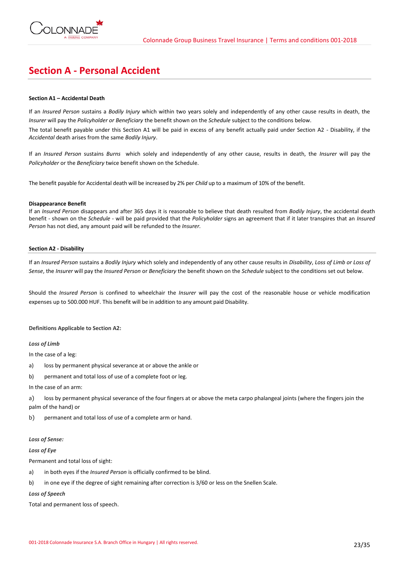

# **Section A - Personal Accident**

# **Section A1 – Accidental Death**

If an *Insured Person* sustains a *Bodily Injury* which within two years solely and independently of any other cause results in death, the *Insurer* will pay the *Policyholder or Beneficiary* the benefit shown on the *Schedule* subject to the conditions below.

The total benefit payable under this Section A1 will be paid in excess of any benefit actually paid under Section A2 - Disability, if the *Accidental* death arises from the same *Bodily Injury*.

If an *Insured Person* sustains *Burns* which solely and independently of any other cause, results in death, the *Insurer* will pay the *Policyholder* or the *Beneficiary* twice benefit shown on the Schedule.

The benefit payable for Accidental death will be increased by 2% per *Child* up to a maximum of 10% of the benefit.

## **Disappearance Benefit**

If an *Insured Person* disappears and after 365 days it is reasonable to believe that death resulted from *Bodily Injury*, the accidental death benefit - shown on the *Schedule* - will be paid provided that the *Policyholder* signs an agreement that if it later transpires that an *Insured Person* has not died, any amount paid will be refunded to the *Insurer.*

## **Section A2 - Disability**

If an *Insured Person* sustains a *Bodily Injury* which solely and independently of any other cause results in *Disability*, *Loss of Limb or Loss of Sense*, the *Insurer* will pay the *Insured Person* or *Beneficiary* the benefit shown on the *Schedule* subject to the conditions set out below.

Should the *Insured Person* is confined to wheelchair the *Insurer* will pay the cost of the reasonable house or vehicle modification expenses up to 500.000 HUF. This benefit will be in addition to any amount paid Disability.

# **Definitions Applicable to Section A2:**

*Loss of Limb* 

In the case of a leg:

- a) loss by permanent physical severance at or above the ankle or
- b) permanent and total loss of use of a complete foot or leg.

## In the case of an arm:

a) loss by permanent physical severance of the four fingers at or above the meta carpo phalangeal joints (where the fingers join the palm of the hand) or

b) permanent and total loss of use of a complete arm or hand.

## *Loss of Sense:*

*Loss of Eye* 

Permanent and total loss of sight:

- a) in both eyes if the *Insured Person* is officially confirmed to be blind.
- b) in one eye if the degree of sight remaining after correction is 3/60 or less on the Snellen Scale.

*Loss of Speech*

Total and permanent loss of speech.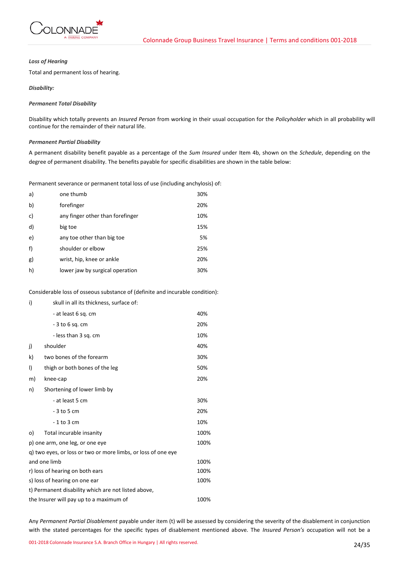

# *Loss of Hearing*

Total and permanent loss of hearing.

# *Disability:*

# *Permanent Total Disability*

Disability which totally prevents an *Insured Person* from working in their usual occupation for the *Policyholder* which in all probability will continue for the remainder of their natural life.

# *Permanent Partial Disability*

A permanent disability benefit payable as a percentage of the *Sum Insured* under Item 4b, shown on the *Schedule*, depending on the degree of permanent disability. The benefits payable for specific disabilities are shown in the table below:

Permanent severance or permanent total loss of use (including anchylosis) of:

| a) | one thumb                        | 30% |
|----|----------------------------------|-----|
| b) | forefinger                       | 20% |
| c) | any finger other than forefinger | 10% |
| d) | big toe                          | 15% |
| e) | any toe other than big toe       | 5%  |
| f) | shoulder or elbow                | 25% |
| g) | wrist, hip, knee or ankle        | 20% |
| h) | lower jaw by surgical operation  | 30% |

Considerable loss of osseous substance of (definite and incurable condition):

| i)                                                            | skull in all its thickness, surface of: |      |  |
|---------------------------------------------------------------|-----------------------------------------|------|--|
|                                                               | - at least 6 sq. cm                     | 40%  |  |
|                                                               | - 3 to 6 sg. cm                         | 20%  |  |
|                                                               | - less than 3 sq. cm                    | 10%  |  |
| j)                                                            | shoulder                                | 40%  |  |
| k)                                                            | two bones of the forearm                | 30%  |  |
| $\vert$                                                       | thigh or both bones of the leg          | 50%  |  |
| m)                                                            | knee-cap                                | 20%  |  |
| n)                                                            | Shortening of lower limb by             |      |  |
|                                                               | - at least 5 cm                         | 30%  |  |
|                                                               | $-3$ to 5 cm                            | 20%  |  |
|                                                               | $-1$ to 3 cm                            | 10%  |  |
| o)                                                            | Total incurable insanity                | 100% |  |
| p) one arm, one leg, or one eye                               |                                         | 100% |  |
| g) two eyes, or loss or two or more limbs, or loss of one eye |                                         |      |  |
| and one limb                                                  |                                         | 100% |  |
| r) loss of hearing on both ears                               |                                         | 100% |  |
| s) loss of hearing on one ear                                 |                                         |      |  |
| t) Permanent disability which are not listed above,           |                                         |      |  |
| the Insurer will pay up to a maximum of<br>100%               |                                         |      |  |

Any *Permanent Partial Disablement* payable under item (t) will be assessed by considering the severity of the disablement in conjunction with the stated percentages for the specific types of disablement mentioned above. The *Insured Person's* occupation will not be a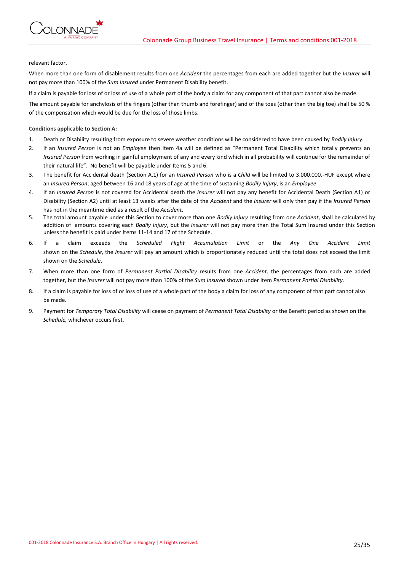

relevant factor.

When more than one form of disablement results from one *Accident* the percentages from each are added together but the *Insurer* will not pay more than 100% of the *Sum Insured* under Permanent Disability benefit.

If a claim is payable for loss of or loss of use of a whole part of the body a claim for any component of that part cannot also be made.

The amount payable for anchylosis of the fingers (other than thumb and forefinger) and of the toes (other than the big toe) shall be 50 % of the compensation which would be due for the loss of those limbs.

# **Conditions applicable to Section A:**

- 1. Death or Disability resulting from exposure to severe weather conditions will be considered to have been caused by *Bodily Injury*.
- 2. If an *Insured Person* is not an *Employee* then Item 4a will be defined as "Permanent Total Disability which totally prevents an *Insured Person* from working in gainful employment of any and every kind which in all probability will continue for the remainder of their natural life". No benefit will be payable under Items 5 and 6.
- 3. The benefit for Accidental death (Section A.1) for an *Insured Person* who is a *Child* will be limited to 3.000.000.-HUF except where an *Insured Person*, aged between 16 and 18 years of age at the time of sustaining *Bodily Injury*, is an *Employee*.
- 4. If an *Insured Person* is not covered for Accidental death the *Insurer* will not pay any benefit for Accidental Death (Section A1) or Disability (Section A2) until at least 13 weeks after the date of the *Accident* and the *Insurer* will only then pay if the *Insured Person* has not in the meantime died as a result of the *Accident*.
- 5. The total amount payable under this Section to cover more than one *Bodily Injury* resulting from one *Accident*, shall be calculated by addition of amounts covering each *Bodily Injury*, but the *Insurer* will not pay more than the Total Sum Insured under this Section unless the benefit is paid under Items 11-14 and 17 of the Schedule.
- 6. If a claim exceeds the *Scheduled Flight Accumulation Limit* or the *Any One Accident Limit* shown on the *Schedule*, the *Insurer* will pay an amount which is proportionately reduced until the total does not exceed the limit shown on the *Schedule*.
- 7. When more than one form of *Permanent Partial Disability* results from one *Accident,* the percentages from each are added together, but the *Insurer* will not pay more than 100% of the *Sum Insured* shown under Item *Permanent Partial Disability.*
- 8. If a claim is payable for loss of or loss of use of a whole part of the body a claim for loss of any component of that part cannot also be made.
- 9. Payment for *Temporary Total Disability* will cease on payment of *Permanent Total Disability* or the Benefit period as shown on the *Schedule,* whichever occurs first.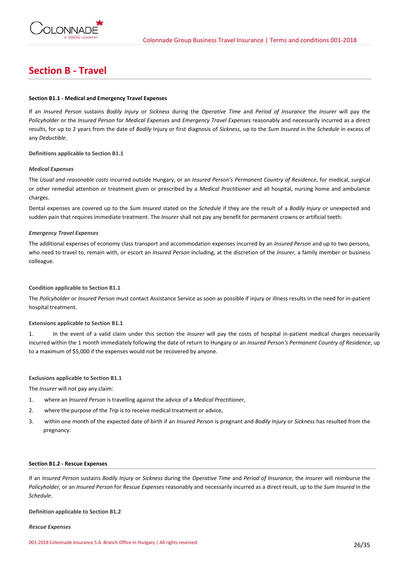

# **Section B - Travel**

# **Section B1.1 - Medical and Emergency Travel Expenses**

If an *Insured Person* sustains *Bodily Injury* or *Sickness* during the *Operative Time* and *Period of Insurance* the *Insurer* will pay the *Policyholder* or the *Insured Person* for *Medical Expenses* and *Emergency Travel Expenses* reasonably and necessarily incurred as a direct results, for up to 2 years from the date of *Bodily* Injury or first diagnosis of *Sickness*, up to the *Sum Insured* in the *Schedule* in excess of any *Deductible*.

**Definitions applicable to Section B1.1**

## *Medical Expenses*

The *Usual and reasonable costs* incurred outside Hungary, or an *Insured Person's Permanent Country of Residence*, for medical, surgical or other remedial attention or treatment given or prescribed by a *Medical Practitioner* and all hospital, nursing home and ambulance charges.

Dental expenses are covered up to the *Sum Insured* stated on the *Schedule* if they are the result of a *Bodily Injury* or unexpected and sudden pain that requires immediate treatment*.* The *Insurer* shall not pay any benefit for permanent crowns or artificial teeth.

## *Emergency Travel Expenses*

The additional expenses of economy class transport and accommodation expenses incurred by an *Insured Person* and up to two persons, who need to travel to, remain with, or escort an *Insured Person* including, at the discretion of the *Insurer,* a family member or business colleague*.*

## **Condition applicable to Section B1.1**

The *Policyholder* or *Insured Person* must contact Assistance Service as soon as possible if injury or illness results in the need for in-patient hospital treatment.

# **Extensions applicable to Section B1.1**

1. In the event of a valid claim under this section the *Insurer* will pay the costs of hospital in-patient medical charges necessarily incurred within the 1 month immediately following the date of return to Hungary or an *Insured Person's Permanent Country of Residence*, up to a maximum of \$5,000 if the expenses would not be recovered by anyone.

# **Exclusions applicable to Section B1.1**

The *Insurer* will not pay any claim:

- 1. where an *Insured Person* is travelling against the advice of a *Medical Practitioner*,
- 2. where the purpose of the *Trip* is to receive medical treatment or advice,
- 3. within one month of the expected date of birth if an *Insured Person* is pregnant and *Bodily Injury* or *Sickness* has resulted from the pregnancy.

## **Section B1.2 - Rescue Expenses**

If an *Insured Person* sustains *Bodily Injury* or *Sickness* during the *Operative Time* and *Period of Insurance*, the *Insurer* will reimburse the *Policyholder,* or an *Insured Person* for *Rescue Expenses* reasonably and necessarily incurred as a direct result, up to the *Sum Insured* in the *Schedule*.

## **Definition applicable to Section B1.2**

#### *Rescue Expenses*

001-2018 Colonnade Insurance S.A. Branch Office in Hungary | All rights reserved. 26/35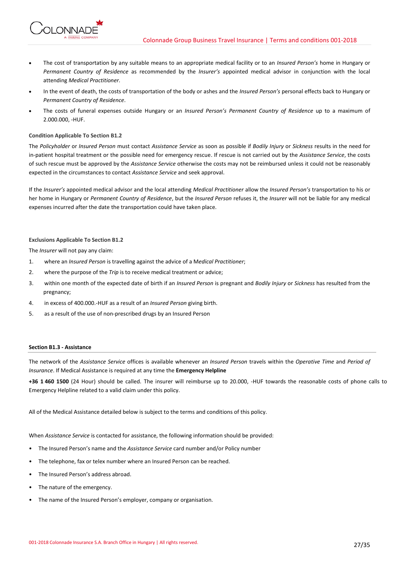- The cost of transportation by any suitable means to an appropriate medical facility or to an *Insured Person's* home in Hungary or *Permanent Country of Residence* as recommended by the *Insurer's* appointed medical advisor in conjunction with the local attending *Medical Practitioner.*
- In the event of death, the costs of transportation of the body or ashes and the *Insured Person's* personal effects back to Hungary or *Permanent Country of Residence*.
- The costs of funeral expenses outside Hungary or an *Insured Person's Permanent Country of Residence* up to a maximum of 2.000.000, -HUF.

## **Condition Applicable To Section B1.2**

**IONNADI** 

The *Policyholder* or *Insured Person* must contact *Assistance Service* as soon as possible if *Bodily Injury* or *Sickness* results in the need for in-patient hospital treatment or the possible need for emergency rescue. If rescue is not carried out by the *Assistance Service*, the costs of such rescue must be approved by the *Assistance Service* otherwise the costs may not be reimbursed unless it could not be reasonably expected in the circumstances to contact *Assistance Service* and seek approval.

If the *Insurer's* appointed medical advisor and the local attending *Medical Practitioner* allow the *Insured Person's* transportation to his or her home in Hungary or *Permanent Country of Residence*, but the *Insured Person* refuses it, the *Insurer* will not be liable for any medical expenses incurred after the date the transportation could have taken place.

# **Exclusions Applicable To Section B1.2**

The *Insurer* will not pay any claim:

- 1. where an *Insured Person* is travelling against the advice of a M*edical Practitioner*;
- 2. where the purpose of the *Trip* is to receive medical treatment or advice;
- 3. within one month of the expected date of birth if an *Insured Person* is pregnant and *Bodily Injury* or *Sickness* has resulted from the pregnancy;
- 4. in excess of 400.000.-HUF as a result of an *Insured Person* giving birth.
- 5. as a result of the use of non-prescribed drugs by an Insured Person

## **Section B1.3 - Assistance**

The network of the *Assistance Service* offices is available whenever an *Insured Person* travels within the *Operative Time* and *Period of Insurance*. If Medical Assistance is required at any time the **Emergency Helpline**

**+36 1 460 1500** (24 Hour) should be called. The insurer will reimburse up to 20.000, -HUF towards the reasonable costs of phone calls to Emergency Helpline related to a valid claim under this policy.

All of the Medical Assistance detailed below is subject to the terms and conditions of this policy.

When *Assistance Service* is contacted for assistance, the following information should be provided:

- The Insured Person's name and the *Assistance Service* card number and/or Policy number
- The telephone, fax or telex number where an Insured Person can be reached.
- The Insured Person's address abroad.
- The nature of the emergency.
- The name of the Insured Person's employer, company or organisation.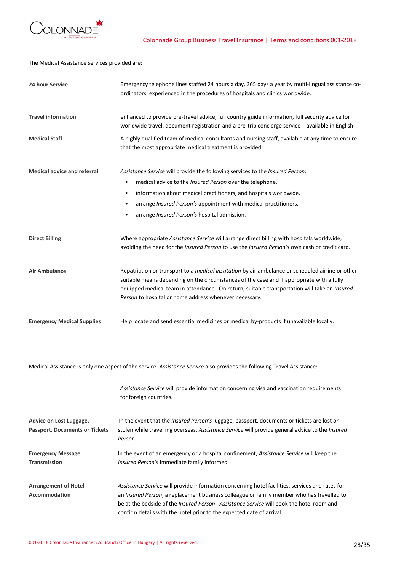

The Medical Assistance services provided are:

| 24 hour Service                                                  | Emergency telephone lines staffed 24 hours a day, 365 days a year by multi-lingual assistance co-<br>ordinators, experienced in the procedures of hospitals and clinics worldwide.                                                                                                                                                                                       |
|------------------------------------------------------------------|--------------------------------------------------------------------------------------------------------------------------------------------------------------------------------------------------------------------------------------------------------------------------------------------------------------------------------------------------------------------------|
| <b>Travel information</b>                                        | enhanced to provide pre-travel advice, full country guide information, full security advice for<br>worldwide travel, document registration and a pre-trip concierge service - available in English                                                                                                                                                                       |
| <b>Medical Staff</b>                                             | A highly qualified team of medical consultants and nursing staff, available at any time to ensure<br>that the most appropriate medical treatment is provided.                                                                                                                                                                                                            |
| <b>Medical advice and referral</b>                               | Assistance Service will provide the following services to the Insured Person:                                                                                                                                                                                                                                                                                            |
|                                                                  | medical advice to the Insured Person over the telephone.<br>$\bullet$                                                                                                                                                                                                                                                                                                    |
|                                                                  | information about medical practitioners, and hospitals worldwide.<br>$\bullet$                                                                                                                                                                                                                                                                                           |
|                                                                  | arrange Insured Person's appointment with medical practitioners.<br>$\bullet$                                                                                                                                                                                                                                                                                            |
|                                                                  | arrange Insured Person's hospital admission.                                                                                                                                                                                                                                                                                                                             |
| <b>Direct Billing</b>                                            | Where appropriate Assistance Service will arrange direct billing with hospitals worldwide,<br>avoiding the need for the Insured Person to use the Insured Person's own cash or credit card.                                                                                                                                                                              |
| <b>Air Ambulance</b>                                             | Repatriation or transport to a <i>medical institution</i> by air ambulance or scheduled airline or other<br>suitable means depending on the circumstances of the case and if appropriate with a fully<br>equipped medical team in attendance. On return, suitable transportation will take an Insured<br>Person to hospital or home address whenever necessary.          |
| <b>Emergency Medical Supplies</b>                                | Help locate and send essential medicines or medical by-products if unavailable locally.                                                                                                                                                                                                                                                                                  |
|                                                                  | Medical Assistance is only one aspect of the service. Assistance Service also provides the following Travel Assistance:                                                                                                                                                                                                                                                  |
|                                                                  | Assistance Service will provide information concerning visa and vaccination requirements<br>for foreign countries.                                                                                                                                                                                                                                                       |
| Advice on Lost Luggage,<br><b>Passport, Documents or Tickets</b> | In the event that the Insured Person's luggage, passport, documents or tickets are lost or<br>stolen while travelling overseas, Assistance Service will provide general advice to the Insured<br>Person.                                                                                                                                                                 |
| <b>Emergency Message</b><br><b>Transmission</b>                  | In the event of an emergency or a hospital confinement, Assistance Service will keep the<br>Insured Person's immediate family informed.                                                                                                                                                                                                                                  |
| <b>Arrangement of Hotel</b><br><b>Accommodation</b>              | Assistance Service will provide information concerning hotel facilities, services and rates for<br>an Insured Person, a replacement business colleague or family member who has travelled to<br>be at the bedside of the <i>Insured Person. Assistance Service</i> will book the hotel room and<br>confirm details with the hotel prior to the expected date of arrival. |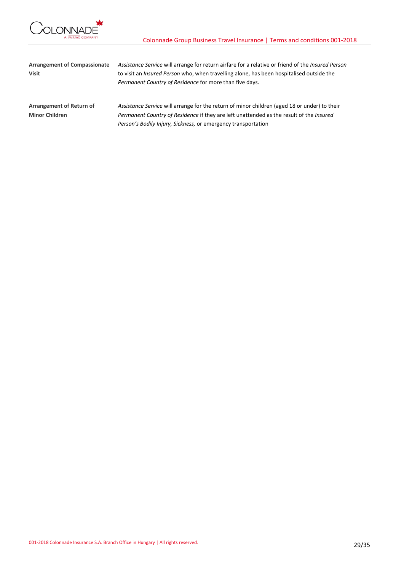

| <b>Arrangement of Compassionate</b> | Assistance Service will arrange for return airfare for a relative or friend of the <i>Insured Person</i> |  |  |
|-------------------------------------|----------------------------------------------------------------------------------------------------------|--|--|
| <b>Visit</b>                        | to visit an <i>Insured Person</i> who, when travelling alone, has been hospitalised outside the          |  |  |
|                                     | Permanent Country of Residence for more than five days.                                                  |  |  |
| Arrangement of Return of            | Assistance Service will arrange for the return of minor children (aged 18 or under) to their             |  |  |
| <b>Minor Children</b>               | Permanent Country of Residence if they are left unattended as the result of the Insured                  |  |  |
|                                     | Person's Bodily Injury, Sickness, or emergency transportation                                            |  |  |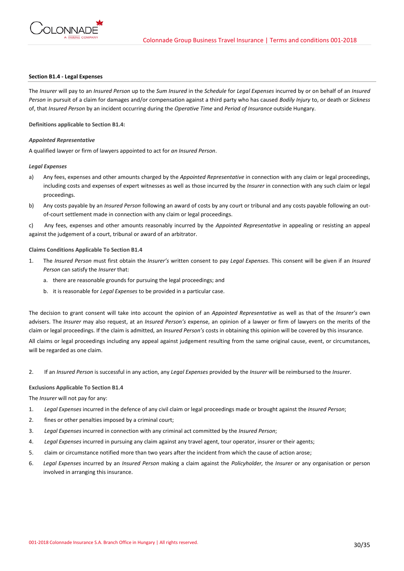

## **Section B1.4 - Legal Expenses**

The *Insurer* will pay to an *Insured Person* up to the *Sum Insured* in the *Schedule* for *Legal Expenses* incurred by or on behalf of an *Insured Person* in pursuit of a claim for damages and/or compensation against a third party who has caused *Bodily Injury* to, or death or *Sickness* of, that *Insured Person* by an incident occurring during the *Operative Time* and *Period of Insurance* outside Hungary.

**Definitions applicable to Section B1.4:**

## *Appointed Representative*

A qualified lawyer or firm of lawyers appointed to act for *an Insured Person*.

## *Legal Expenses*

- a) Any fees, expenses and other amounts charged by the *Appointed Representative* in connection with any claim or legal proceedings, including costs and expenses of expert witnesses as well as those incurred by the *Insurer* in connection with any such claim or legal proceedings.
- b) Any costs payable by an *Insured Person* following an award of costs by any court or tribunal and any costs payable following an outof-court settlement made in connection with any claim or legal proceedings.

c) Any fees, expenses and other amounts reasonably incurred by the *Appointed Representative* in appealing or resisting an appeal against the judgement of a court, tribunal or award of an arbitrator.

## **Claims Conditions Applicable To Section B1.4**

- 1. The *Insured Person* must first obtain the *Insurer's* written consent to pay *Legal Expenses*. This consent will be given if an *Insured Person* can satisfy the *Insurer* that:
	- a. there are reasonable grounds for pursuing the legal proceedings; and
	- b. it is reasonable for *Legal Expenses* to be provided in a particular case.

The decision to grant consent will take into account the opinion of an *Appointed Representative* as well as that of the *Insurer's* own advisers. The *Insurer* may also request, at an *Insured Person's* expense, an opinion of a lawyer or firm of lawyers on the merits of the claim or legal proceedings. If the claim is admitted, an *Insured Person's* costs in obtaining this opinion will be covered by this insurance.

All claims or legal proceedings including any appeal against judgement resulting from the same original cause, event, or circumstances, will be regarded as one claim.

2. If an *Insured Person* is successful in any action, any *Legal Expenses* provided by the *Insurer* will be reimbursed to the *Insurer*.

## **Exclusions Applicable To Section B1.4**

The *Insurer* will not pay for any:

- 1. *Legal Expenses* incurred in the defence of any civil claim or legal proceedings made or brought against the *Insured Person*;
- 2. fines or other penalties imposed by a criminal court;
- 3. *Legal Expenses* incurred in connection with any criminal act committed by the *Insured Person*;
- 4. *Legal Expenses* incurred in pursuing any claim against any travel agent, tour operator, insurer or their agents;
- 5. claim or circumstance notified more than two years after the incident from which the cause of action arose;
- 6. *Legal Expenses* incurred by an *Insured Person* making a claim against the *Policyholder,* the *Insurer* or any organisation or person involved in arranging this insurance.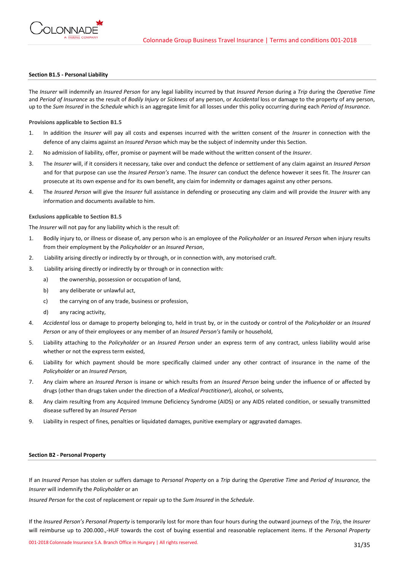

## **Section B1.5 - Personal Liability**

The *Insurer* will indemnify an *Insured Person* for any legal liability incurred by that *Insured Person* during a *Trip* during the *Operative Time*  and *Period of Insurance* as the result of *Bodily Injury* or *Sickness* of any person, or *Accidental* loss or damage to the property of any person, up to the *Sum Insured* in the *Schedule* which is an aggregate limit for all losses under this policy occurring during each *Period of Insurance*.

**Provisions applicable to Section B1.5**

- 1. In addition the *Insurer* will pay all costs and expenses incurred with the written consent of the *Insurer* in connection with the defence of any claims against an *Insured Person* which may be the subject of indemnity under this Section.
- 2. No admission of liability, offer, promise or payment will be made without the written consent of the *Insurer*.
- 3. The *Insurer* will, if it considers it necessary, take over and conduct the defence or settlement of any claim against an *Insured Person* and for that purpose can use the *Insured Person's* name. The *Insurer* can conduct the defence however it sees fit. The *Insurer* can prosecute at its own expense and for its own benefit, any claim for indemnity or damages against any other persons.
- 4. The *Insured Person* will give the *Insurer* full assistance in defending or prosecuting any claim and will provide the *Insurer* with any information and documents available to him.

## **Exclusions applicable to Section B1.5**

The *Insurer* will not pay for any liability which is the result of:

- 1. Bodily injury to, or illness or disease of, any person who is an employee of the *Policyholder* or an *Insured Person* when injury results from their employment by the *Policyholder* or an *Insured Person*,
- 2. Liability arising directly or indirectly by or through, or in connection with, any motorised craft.
- 3. Liability arising directly or indirectly by or through or in connection with:
	- a) the ownership, possession or occupation of land,
	- b) any deliberate or unlawful act,
	- c) the carrying on of any trade, business or profession,
	- d) any racing activity,
- 4. *Accidental* loss or damage to property belonging to, held in trust by, or in the custody or control of the *Policyholder* or an *Insured Person* or any of their employees or any member of an *Insured Person's* family or household,
- 5. Liability attaching to the *Policyholder* or an *Insured Person* under an express term of any contract, unless liability would arise whether or not the express term existed,
- 6. Liability for which payment should be more specifically claimed under any other contract of insurance in the name of the *Policyholder* or an *Insured Person,*
- 7. Any claim where an *Insured Person* is insane or which results from an *Insured Person* being under the influence of or affected by drugs (other than drugs taken under the direction of a *Medical Practitioner*), alcohol, or solvents,
- 8. Any claim resulting from any Acquired Immune Deficiency Syndrome (AIDS) or any AIDS related condition, or sexually transmitted disease suffered by an *Insured Person*
- 9. Liability in respect of fines, penalties or liquidated damages, punitive exemplary or aggravated damages.

## **Section B2 - Personal Property**

If an *Insured Person* has stolen or suffers damage to *Personal Property* on a *Trip* during the *Operative Time* and *Period of Insurance,* the *Insurer* will indemnify the *Policyholder* or an

*Insured Person* for the cost of replacement or repair up to the *Sum Insured* in the *Schedule*.

If the *Insured Person's Personal Property* is temporarily lost for more than four hours during the outward journeys of the *Trip*, the *Insurer* will reimburse up to 200.000.,-HUF towards the cost of buying essential and reasonable replacement items. If the *Personal Property*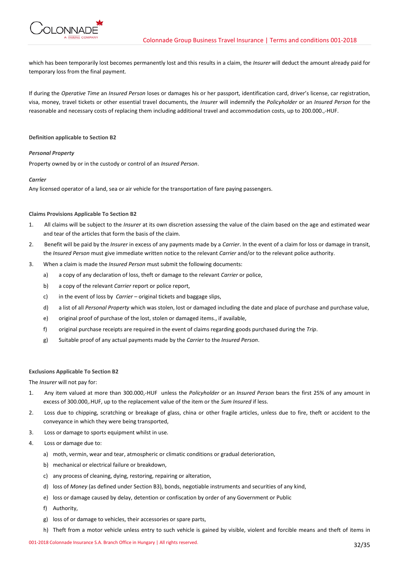

which has been temporarily lost becomes permanently lost and this results in a claim, the *Insurer* will deduct the amount already paid for temporary loss from the final payment.

If during the *Operative Time* an *Insured Person* loses or damages his or her passport, identification card, driver's license, car registration, visa, money, travel tickets or other essential travel documents, the *Insurer* will indemnify the *Policyholder* or an *Insured Person* for the reasonable and necessary costs of replacing them including additional travel and accommodation costs, up to 200.000.,-HUF.

## **Definition applicable to Section B2**

## *Personal Property*

Property owned by or in the custody or control of an *Insured Person*.

## *Carrier*

Any licensed operator of a land, sea or air vehicle for the transportation of fare paying passengers.

## **Claims Provisions Applicable To Section B2**

- 1. All claims will be subject to the *Insurer* at its own discretion assessing the value of the claim based on the age and estimated wear and tear of the articles that form the basis of the claim.
- 2. Benefit will be paid by the *Insurer* in excess of any payments made by a *Carrier*. In the event of a claim for loss or damage in transit, the *Insured Person* must give immediate written notice to the relevant *Carrier* and/or to the relevant police authority.
- 3. When a claim is made the *Insured Person* must submit the following documents:
	- a) a copy of any declaration of loss, theft or damage to the relevant *Carrier* or police,
	- b) a copy of the relevant *Carrier* report or police report,
	- c) in the event of loss by *Carrier*  original tickets and baggage slips,
	- d) a list of all *Personal Property* which was stolen, lost or damaged including the date and place of purchase and purchase value,
	- e) original proof of purchase of the lost, stolen or damaged items., if available,
	- f) original purchase receipts are required in the event of claims regarding goods purchased during the *Trip*.
	- g) Suitable proof of any actual payments made by the *Carrier* to the *Insured Person*.

## **Exclusions Applicable To Section B2**

The *Insurer* will not pay for:

- 1. Any item valued at more than 300.000,-HUF unless the *Policyholder* or an *Insured Person* bears the first 25% of any amount in excess of 300.000,.HUF, up to the replacement value of the item or the *Sum Insured* if less.
- 2. Loss due to chipping, scratching or breakage of glass, china or other fragile articles, unless due to fire, theft or accident to the conveyance in which they were being transported,
- 3. Loss or damage to sports equipment whilst in use.
- 4. Loss or damage due to:
	- a) moth, vermin, wear and tear, atmospheric or climatic conditions or gradual deterioration,
	- b) mechanical or electrical failure or breakdown,
	- c) any process of cleaning, dying, restoring, repairing or alteration,
	- d) loss of *Money* (as defined under Section B3), bonds, negotiable instruments and securities of any kind,
	- e) loss or damage caused by delay, detention or confiscation by order of any Government or Public
	- f) Authority,
	- g) loss of or damage to vehicles, their accessories or spare parts,
	- h) Theft from a motor vehicle unless entry to such vehicle is gained by visible, violent and forcible means and theft of items in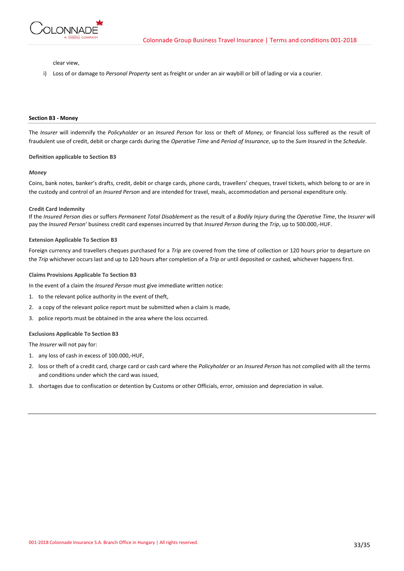

clear view,

i) Loss of or damage to *Personal Property* sent as freight or under an air waybill or bill of lading or via a courier.

### **Section B3 - Money**

The *Insurer* will indemnify the *Policyholder* or an *Insured Person* for loss or theft of *Money,* or financial loss suffered as the result of fraudulent use of credit, debit or charge cards during the *Operative Time* and *Period of Insurance*, up to the *Sum Insured* in the *Schedule*.

#### **Definition applicable to Section B3**

#### *Money*

Coins, bank notes, banker's drafts, credit, debit or charge cards, phone cards, travellers' cheques, travel tickets, which belong to or are in the custody and control of an *Insured Person* and are intended for travel, meals, accommodation and personal expenditure only*.*

#### **Credit Card Indemnity**

If the *Insured Person* dies or suffers *Permanent Total Disablement* as the result of a *Bodily Injury* during the *Operative Time*, the *Insurer* will pay the *Insured Person*' business credit card expenses incurred by that *Insured Person* during the *Trip*, up to 500.000,-HUF.

## **Extension Applicable To Section B3**

Foreign currency and travellers cheques purchased for a *Trip* are covered from the time of collection or 120 hours prior to departure on the *Trip* whichever occurs last and up to 120 hours after completion of a *Trip* or until deposited or cashed, whichever happens first.

## **Claims Provisions Applicable To Section B3**

In the event of a claim the *Insured Person* must give immediate written notice:

- 1. to the relevant police authority in the event of theft,
- 2. a copy of the relevant police report must be submitted when a claim is made,
- 3. police reports must be obtained in the area where the loss occurred.

#### **Exclusions Applicable To Section B3**

The *Insurer* will not pay for:

- 1. any loss of cash in excess of 100.000,-HUF,
- 2. loss or theft of a credit card, charge card or cash card where the *Policyholder* or an *Insured Person* has not complied with all the terms and conditions under which the card was issued,
- 3. shortages due to confiscation or detention by Customs or other Officials, error, omission and depreciation in value.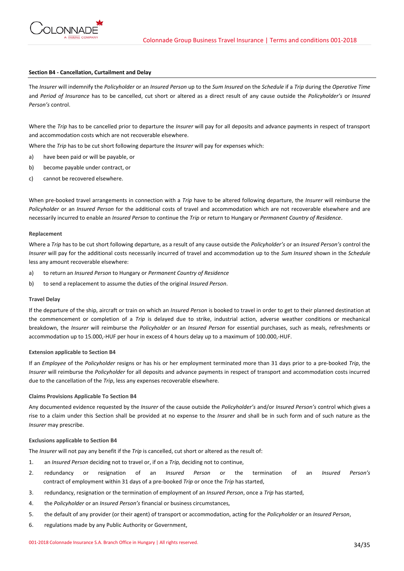

## **Section B4 - Cancellation, Curtailment and Delay**

The *Insurer* will indemnify the *Policyholder* or an *Insured Person* up to the *Sum Insured* on the *Schedule* if a *Trip* during the *Operative Time* and *Period of Insurance* has to be cancelled, cut short or altered as a direct result of any cause outside the *Policyholder's* or *Insured Person's* control.

Where the *Trip* has to be cancelled prior to departure the *Insurer* will pay for all deposits and advance payments in respect of transport and accommodation costs which are not recoverable elsewhere.

Where the *Trip* has to be cut short following departure the *Insurer* will pay for expenses which:

- a) have been paid or will be payable, or
- b) become payable under contract, or
- c) cannot be recovered elsewhere.

When pre-booked travel arrangements in connection with a *Trip* have to be altered following departure, the *Insurer* will reimburse the *Policyholder* or an *Insured Person* for the additional costs of travel and accommodation which are not recoverable elsewhere and are necessarily incurred to enable an *Insured Person* to continue the *Trip* or return to Hungary or *Permanent Country of Residence*.

### **Replacement**

Where a *Trip* has to be cut short following departure, as a result of any cause outside the *Policyholder's* or an *Insured Person's* control the *Insurer* will pay for the additional costs necessarily incurred of travel and accommodation up to the *Sum Insured* shown in the *Schedule* less any amount recoverable elsewhere:

- a) to return an *Insured Person* to Hungary or *Permanent Country of Residence*
- b) to send a replacement to assume the duties of the original *Insured Person*.

#### **Travel Delay**

If the departure of the ship, aircraft or train on which an *Insured Person* is booked to travel in order to get to their planned destination at the commencement or completion of a *Trip* is delayed due to strike, industrial action, adverse weather conditions or mechanical breakdown, the *Insurer* will reimburse the *Policyholder* or an *Insured Person* for essential purchases, such as meals, refreshments or accommodation up to 15.000,-HUF per hour in excess of 4 hours delay up to a maximum of 100.000,-HUF.

# **Extension applicable to Section B4**

If an *Employee* of the *Policyholder* resigns or has his or her employment terminated more than 31 days prior to a pre-booked *Trip*, the *Insurer* will reimburse the *Policyholder* for all deposits and advance payments in respect of transport and accommodation costs incurred due to the cancellation of the *Trip*, less any expenses recoverable elsewhere.

## **Claims Provisions Applicable To Section B4**

Any documented evidence requested by the *Insurer* of the cause outside the *Policyholder's* and/or *Insured Person's* control which gives a rise to a claim under this Section shall be provided at no expense to the *Insurer* and shall be in such form and of such nature as the *Insurer* may prescribe.

## **Exclusions applicable to Section B4**

The *Insurer* will not pay any benefit if the *Trip* is cancelled, cut short or altered as the result of:

- 1. an *Insured Person* deciding not to travel or, if on a *Trip,* deciding not to continue,
- 2. redundancy or resignation of an *Insured Person* or the termination of an *Insured Person's* contract of employment within 31 days of a pre-booked *Trip* or once the *Trip* has started,
- 3. redundancy, resignation or the termination of employment of an *Insured Person*, once a *Trip* has started,
- 4. the *Policyholder* or an *Insured Person's* financial or business circumstances,
- 5. the default of any provider (or their agent) of transport or accommodation, acting for the *Policyholder* or an *Insured Person*,
- 6. regulations made by any Public Authority or Government,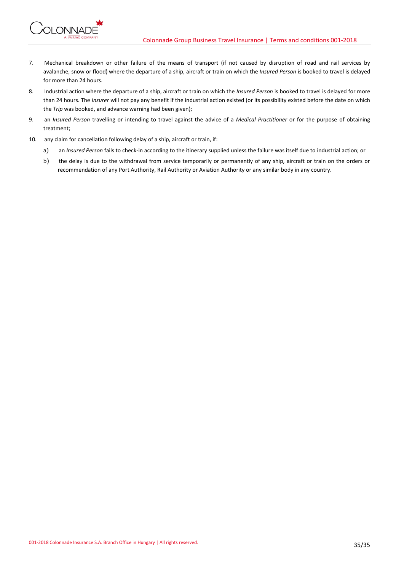

- 7. Mechanical breakdown or other failure of the means of transport (if not caused by disruption of road and rail services by avalanche, snow or flood) where the departure of a ship, aircraft or train on which the *Insured Person* is booked to travel is delayed for more than 24 hours.
- 8. Industrial action where the departure of a ship, aircraft or train on which the *Insured Person* is booked to travel is delayed for more than 24 hours. The *Insurer* will not pay any benefit if the industrial action existed (or its possibility existed before the date on which the *Trip* was booked, and advance warning had been given);
- 9. an *Insured Person* travelling or intending to travel against the advice of a *Medical Practitioner* or for the purpose of obtaining treatment;
- 10. any claim for cancellation following delay of a ship, aircraft or train, if:
	- a) an *Insured Person* fails to check-in according to the itinerary supplied unless the failure was itself due to industrial action; or
	- b) the delay is due to the withdrawal from service temporarily or permanently of any ship, aircraft or train on the orders or recommendation of any Port Authority, Rail Authority or Aviation Authority or any similar body in any country.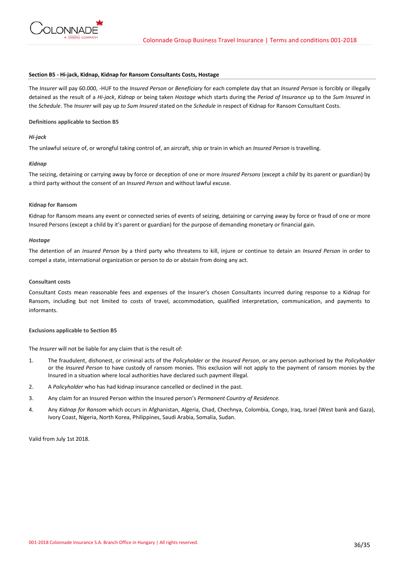

## **Section B5 - Hi-jack, Kidnap, Kidnap for Ransom Consultants Costs, Hostage**

The *Insurer* will pay 60.000, -HUF to the *Insured Person* or *Beneficiary* for each complete day that an *Insured Person* is forcibly or illegally detained as the result of a *Hi-jack*, *Kidnap* or being taken *Hostage* which starts during the *Period of Insurance* up to the *Sum Insured* in the *Schedule*. The *Insurer* will pay up *to Sum Insured* stated on the *Schedule* in respect of Kidnap for Ransom Consultant Costs.

## **Definitions applicable to Section B5**

# *Hi-jack*

The unlawful seizure of, or wrongful taking control of, an aircraft, ship or train in which an *Insured Person* is travelling.

# *Kidnap*

The seizing, detaining or carrying away by force or deception of one or more *Insured Persons* (except a *child* by its parent or guardian) by a third party without the consent of an *Insured Person* and without lawful excuse.

## **Kidnap for Ransom**

Kidnap for Ransom means any event or connected series of events of seizing, detaining or carrying away by force or fraud of one or more Insured Persons (except a child by it's parent or guardian) for the purpose of demanding monetary or financial gain.

## *Hostage*

The detention of an *Insured Person* by a third party who threatens to kill, injure or continue to detain an *Insured Person* in order to compel a state, international organization or person to do or abstain from doing any act.

## **Consultant costs**

Consultant Costs mean reasonable fees and expenses of the Insurer's chosen Consultants incurred during response to a Kidnap for Ransom, including but not limited to costs of travel, accommodation, qualified interpretation, communication, and payments to informants.

# **Exclusions applicable to Section B5**

The *Insurer* will not be liable for any claim that is the result of:

- 1. The fraudulent, dishonest, or criminal acts of the *Policyholder* or the *Insured Person*, or any person authorised by the *Policyholder* or the *Insured Person* to have custody of ransom monies. This exclusion will not apply to the payment of ransom monies by the Insured in a situation where local authorities have declared such payment illegal.
- 2. A *Policyholder* who has had kidnap insurance cancelled or declined in the past.
- 3. Any claim for an Insured Person within the Insured person's *Permanent Country of Residence.*
- 4. Any *Kidnap for Ransom* which occurs in Afghanistan, Algeria, Chad, Chechnya, Colombia, Congo, Iraq, Israel (West bank and Gaza), Ivory Coast, Nigeria, North Korea, Philippines, Saudi Arabia, Somalia, Sudan.

Valid from July 1st 2018.